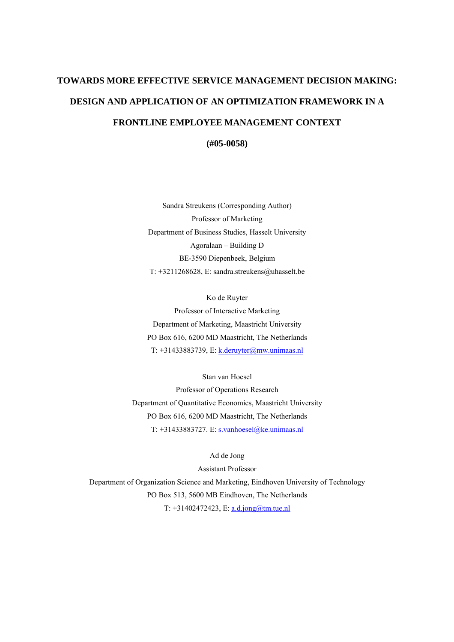# **TOWARDS MORE EFFECTIVE SERVICE MANAGEMENT DECISION MAKING: DESIGN AND APPLICATION OF AN OPTIMIZATION FRAMEWORK IN A FRONTLINE EMPLOYEE MANAGEMENT CONTEXT**

**(#05-0058)** 

Sandra Streukens (Corresponding Author) Professor of Marketing Department of Business Studies, Hasselt University Agoralaan – Building D BE-3590 Diepenbeek, Belgium T: +3211268628, E: sandra.streukens@uhasselt.be

Ko de Ruyter Professor of Interactive Marketing Department of Marketing, Maastricht University PO Box 616, 6200 MD Maastricht, The Netherlands T: +31433883739, E: [k.deruyter@mw.unimaas.nl](mailto:k.deruyter@mw.unimaas.nl)

Stan van Hoesel

Professor of Operations Research Department of Quantitative Economics, Maastricht University PO Box 616, 6200 MD Maastricht, The Netherlands T: +31433883727. E: [s.vanhoesel@ke.unimaas.nl](mailto:s.vanhoesel@ke.unimaas.nl)

Ad de Jong

Assistant Professor Department of Organization Science and Marketing, Eindhoven University of Technology PO Box 513, 5600 MB Eindhoven, The Netherlands T:  $+31402472423$ , E: <u>a.d.jong@tm.tue.nl</u>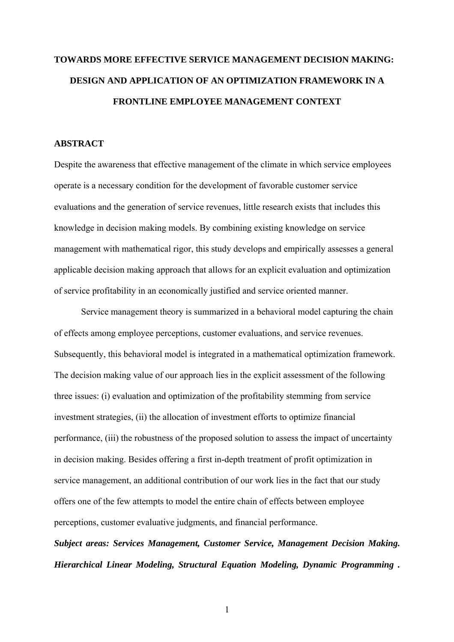## **TOWARDS MORE EFFECTIVE SERVICE MANAGEMENT DECISION MAKING: DESIGN AND APPLICATION OF AN OPTIMIZATION FRAMEWORK IN A FRONTLINE EMPLOYEE MANAGEMENT CONTEXT**

#### **ABSTRACT**

Despite the awareness that effective management of the climate in which service employees operate is a necessary condition for the development of favorable customer service evaluations and the generation of service revenues, little research exists that includes this knowledge in decision making models. By combining existing knowledge on service management with mathematical rigor, this study develops and empirically assesses a general applicable decision making approach that allows for an explicit evaluation and optimization of service profitability in an economically justified and service oriented manner.

Service management theory is summarized in a behavioral model capturing the chain of effects among employee perceptions, customer evaluations, and service revenues. Subsequently, this behavioral model is integrated in a mathematical optimization framework. The decision making value of our approach lies in the explicit assessment of the following three issues: (i) evaluation and optimization of the profitability stemming from service investment strategies, (ii) the allocation of investment efforts to optimize financial performance, (iii) the robustness of the proposed solution to assess the impact of uncertainty in decision making. Besides offering a first in-depth treatment of profit optimization in service management, an additional contribution of our work lies in the fact that our study offers one of the few attempts to model the entire chain of effects between employee perceptions, customer evaluative judgments, and financial performance.

*Subject areas: Services Management, Customer Service, Management Decision Making. Hierarchical Linear Modeling, Structural Equation Modeling, Dynamic Programming .*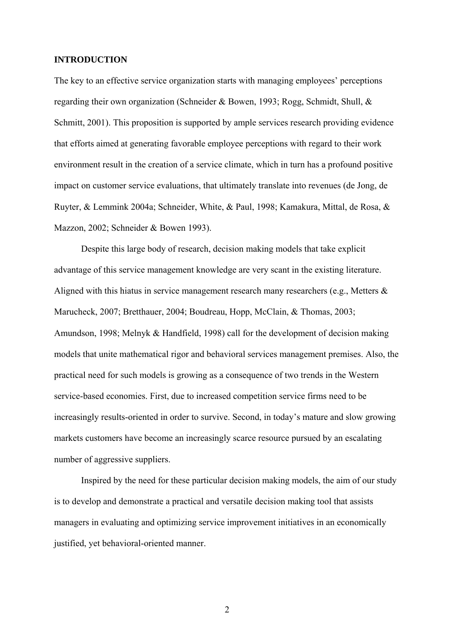#### **INTRODUCTION**

The key to an effective service organization starts with managing employees' perceptions regarding their own organization (Schneider & Bowen, 1993; Rogg, Schmidt, Shull, & Schmitt, 2001). This proposition is supported by ample services research providing evidence that efforts aimed at generating favorable employee perceptions with regard to their work environment result in the creation of a service climate, which in turn has a profound positive impact on customer service evaluations, that ultimately translate into revenues (de Jong, de Ruyter, & Lemmink 2004a; Schneider, White, & Paul, 1998; Kamakura, Mittal, de Rosa, & Mazzon, 2002; Schneider & Bowen 1993).

Despite this large body of research, decision making models that take explicit advantage of this service management knowledge are very scant in the existing literature. Aligned with this hiatus in service management research many researchers (e.g., Metters & Marucheck, 2007; Bretthauer, 2004; Boudreau, Hopp, McClain, & Thomas, 2003; Amundson, 1998; Melnyk & Handfield, 1998) call for the development of decision making models that unite mathematical rigor and behavioral services management premises. Also, the practical need for such models is growing as a consequence of two trends in the Western service-based economies. First, due to increased competition service firms need to be increasingly results-oriented in order to survive. Second, in today's mature and slow growing markets customers have become an increasingly scarce resource pursued by an escalating number of aggressive suppliers.

Inspired by the need for these particular decision making models, the aim of our study is to develop and demonstrate a practical and versatile decision making tool that assists managers in evaluating and optimizing service improvement initiatives in an economically justified, yet behavioral-oriented manner.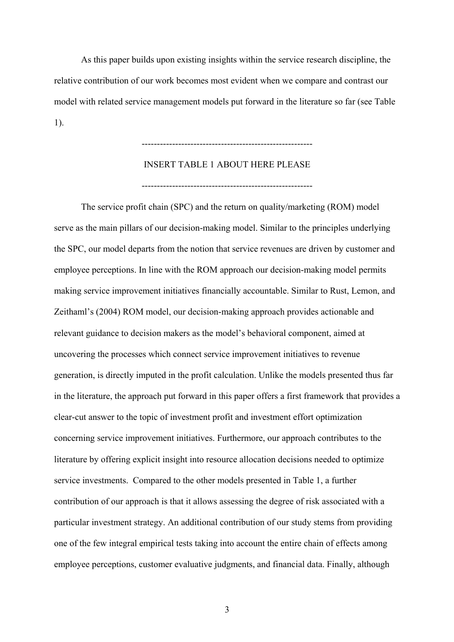As this paper builds upon existing insights within the service research discipline, the relative contribution of our work becomes most evident when we compare and contrast our model with related service management models put forward in the literature so far (see Table 1).

## INSERT TABLE 1 ABOUT HERE PLEASE --------------------------------------------------------

--------------------------------------------------------

The service profit chain (SPC) and the return on quality/marketing (ROM) model serve as the main pillars of our decision-making model. Similar to the principles underlying the SPC, our model departs from the notion that service revenues are driven by customer and employee perceptions. In line with the ROM approach our decision-making model permits making service improvement initiatives financially accountable. Similar to Rust, Lemon, and Zeithaml's (2004) ROM model, our decision-making approach provides actionable and relevant guidance to decision makers as the model's behavioral component, aimed at uncovering the processes which connect service improvement initiatives to revenue generation, is directly imputed in the profit calculation. Unlike the models presented thus far in the literature, the approach put forward in this paper offers a first framework that provides a clear-cut answer to the topic of investment profit and investment effort optimization concerning service improvement initiatives. Furthermore, our approach contributes to the literature by offering explicit insight into resource allocation decisions needed to optimize service investments. Compared to the other models presented in Table 1, a further contribution of our approach is that it allows assessing the degree of risk associated with a particular investment strategy. An additional contribution of our study stems from providing one of the few integral empirical tests taking into account the entire chain of effects among employee perceptions, customer evaluative judgments, and financial data. Finally, although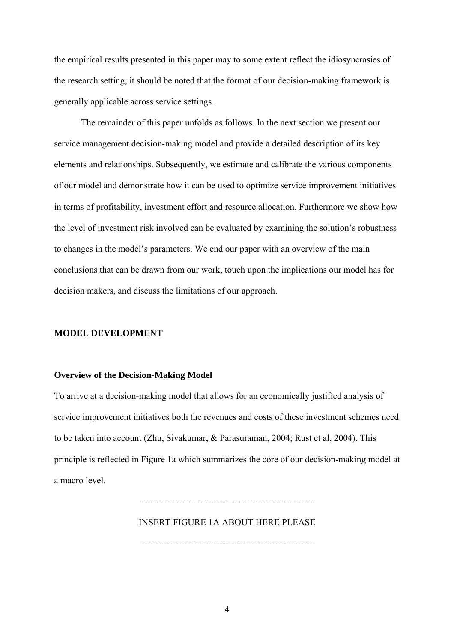the empirical results presented in this paper may to some extent reflect the idiosyncrasies of the research setting, it should be noted that the format of our decision-making framework is generally applicable across service settings.

The remainder of this paper unfolds as follows. In the next section we present our service management decision-making model and provide a detailed description of its key elements and relationships. Subsequently, we estimate and calibrate the various components of our model and demonstrate how it can be used to optimize service improvement initiatives in terms of profitability, investment effort and resource allocation. Furthermore we show how the level of investment risk involved can be evaluated by examining the solution's robustness to changes in the model's parameters. We end our paper with an overview of the main conclusions that can be drawn from our work, touch upon the implications our model has for decision makers, and discuss the limitations of our approach.

#### **MODEL DEVELOPMENT**

#### **Overview of the Decision-Making Model**

To arrive at a decision-making model that allows for an economically justified analysis of service improvement initiatives both the revenues and costs of these investment schemes need to be taken into account (Zhu, Sivakumar, & Parasuraman, 2004; Rust et al, 2004). This principle is reflected in Figure 1a which summarizes the core of our decision-making model at a macro level.

INSERT FIGURE 1A ABOUT HERE PLEASE

--------------------------------------------------------

--------------------------------------------------------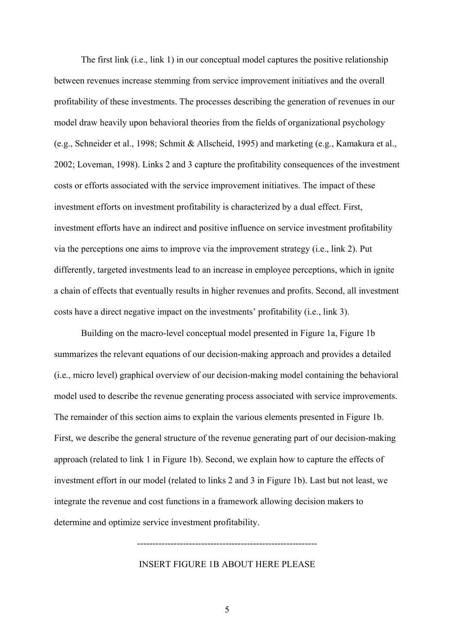The first link (i.e., link 1) in our conceptual model captures the positive relationship between revenues increase stemming from service improvement initiatives and the overall profitability of these investments. The processes describing the generation of revenues in our model draw heavily upon behavioral theories from the fields of organizational psychology (e.g., Schneider et al., 1998; Schmit & Allscheid, 1995) and marketing (e.g., Kamakura et al., 2002; Loveman, 1998). Links 2 and 3 capture the profitability consequences of the investment costs or efforts associated with the service improvement initiatives. The impact of these investment efforts on investment profitability is characterized by a dual effect. First, investment efforts have an indirect and positive influence on service investment profitability via the perceptions one aims to improve via the improvement strategy (i.e., link 2). Put differently, targeted investments lead to an increase in employee perceptions, which in ignite a chain of effects that eventually results in higher revenues and profits. Second, all investment costs have a direct negative impact on the investments' profitability (i.e., link 3).

Building on the macro-level conceptual model presented in Figure 1a, Figure 1b summarizes the relevant equations of our decision-making approach and provides a detailed (i.e., micro level) graphical overview of our decision-making model containing the behavioral model used to describe the revenue generating process associated with service improvements. The remainder of this section aims to explain the various elements presented in Figure 1b. First, we describe the general structure of the revenue generating part of our decision-making approach (related to link 1 in Figure 1b). Second, we explain how to capture the effects of investment effort in our model (related to links 2 and 3 in Figure 1b). Last but not least, we integrate the revenue and cost functions in a framework allowing decision makers to determine and optimize service investment profitability.

#### INSERT FIGURE 1B ABOUT HERE PLEASE

-----------------------------------------------------------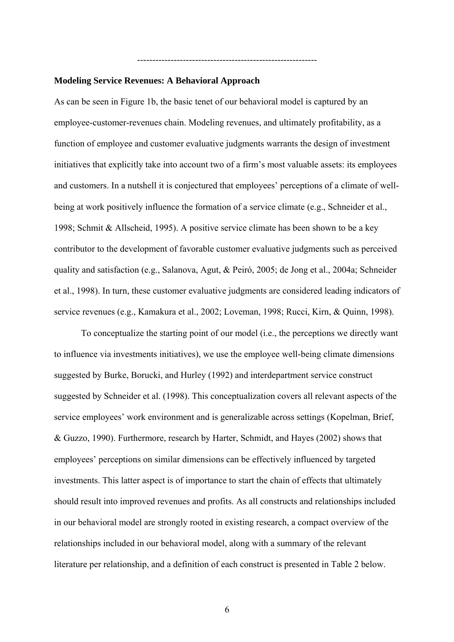#### **Modeling Service Revenues: A Behavioral Approach**

As can be seen in Figure 1b, the basic tenet of our behavioral model is captured by an employee-customer-revenues chain. Modeling revenues, and ultimately profitability, as a function of employee and customer evaluative judgments warrants the design of investment initiatives that explicitly take into account two of a firm's most valuable assets: its employees and customers. In a nutshell it is conjectured that employees' perceptions of a climate of wellbeing at work positively influence the formation of a service climate (e.g., Schneider et al., 1998; Schmit & Allscheid, 1995). A positive service climate has been shown to be a key contributor to the development of favorable customer evaluative judgments such as perceived quality and satisfaction (e.g., Salanova, Agut, & Peiró, 2005; de Jong et al., 2004a; Schneider et al., 1998). In turn, these customer evaluative judgments are considered leading indicators of service revenues (e.g., Kamakura et al., 2002; Loveman, 1998; Rucci, Kirn, & Quinn, 1998).

-----------------------------------------------------------

To conceptualize the starting point of our model (i.e., the perceptions we directly want to influence via investments initiatives), we use the employee well-being climate dimensions suggested by Burke, Borucki, and Hurley (1992) and interdepartment service construct suggested by Schneider et al. (1998). This conceptualization covers all relevant aspects of the service employees' work environment and is generalizable across settings (Kopelman, Brief, & Guzzo, 1990). Furthermore, research by Harter, Schmidt, and Hayes (2002) shows that employees' perceptions on similar dimensions can be effectively influenced by targeted investments. This latter aspect is of importance to start the chain of effects that ultimately should result into improved revenues and profits. As all constructs and relationships included in our behavioral model are strongly rooted in existing research, a compact overview of the relationships included in our behavioral model, along with a summary of the relevant literature per relationship, and a definition of each construct is presented in Table 2 below.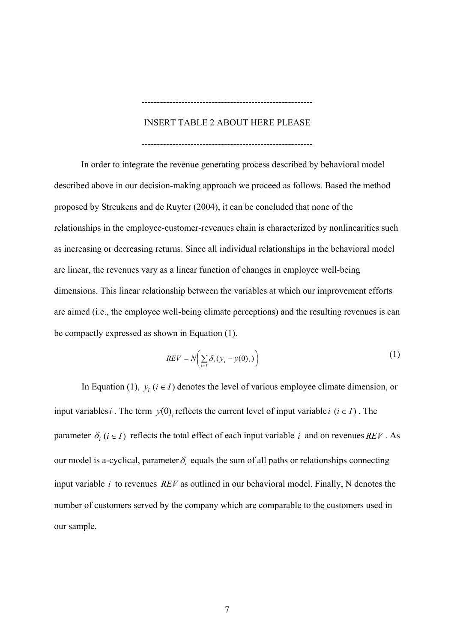#### INSERT TABLE 2 ABOUT HERE PLEASE

--------------------------------------------------------

--------------------------------------------------------

In order to integrate the revenue generating process described by behavioral model described above in our decision-making approach we proceed as follows. Based the method proposed by Streukens and de Ruyter (2004), it can be concluded that none of the relationships in the employee-customer-revenues chain is characterized by nonlinearities such as increasing or decreasing returns. Since all individual relationships in the behavioral model are linear, the revenues vary as a linear function of changes in employee well-being dimensions. This linear relationship between the variables at which our improvement efforts are aimed (i.e., the employee well-being climate perceptions) and the resulting revenues is can be compactly expressed as shown in Equation (1).

$$
REV = N\left(\sum_{i \in I} \delta_i (y_i - y(0)_i)\right)
$$
 (1)

In Equation (1),  $y_i$  ( $i \in I$ ) denotes the level of various employee climate dimension, or input variables *i*. The term  $y(0)$  reflects the current level of input variable *i*  $(i \in I)$ . The parameter  $\delta_i$  ( $i \in I$ ) reflects the total effect of each input variable i and on revenues  $REV$ . As our model is a-cyclical, parameter  $\delta_i$  equals the sum of all paths or relationships connecting input variable  $i$  to revenues  $REV$  as outlined in our behavioral model. Finally, N denotes the number of customers served by the company which are comparable to the customers used in our sample.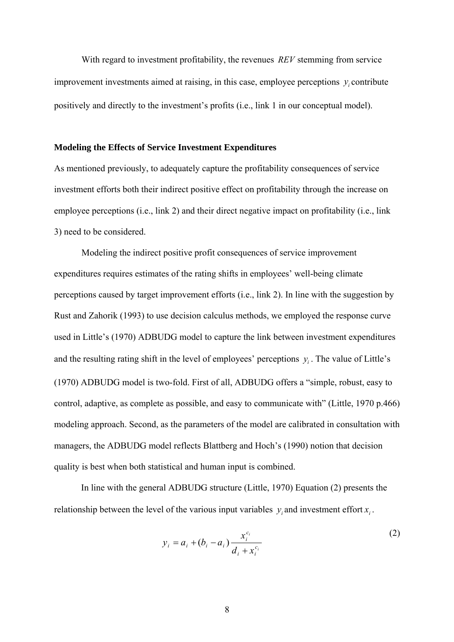With regard to investment profitability, the revenues  $REV$  stemming from service improvement investments aimed at raising, in this case, employee perceptions  $y_i$  contribute positively and directly to the investment's profits (i.e., link 1 in our conceptual model).

#### **Modeling the Effects of Service Investment Expenditures**

As mentioned previously, to adequately capture the profitability consequences of service investment efforts both their indirect positive effect on profitability through the increase on employee perceptions (i.e., link 2) and their direct negative impact on profitability (i.e., link 3) need to be considered.

Modeling the indirect positive profit consequences of service improvement expenditures requires estimates of the rating shifts in employees' well-being climate perceptions caused by target improvement efforts (i.e., link 2). In line with the suggestion by Rust and Zahorik (1993) to use decision calculus methods, we employed the response curve used in Little's (1970) ADBUDG model to capture the link between investment expenditures and the resulting rating shift in the level of employees' perceptions  $y_i$ . The value of Little's (1970) ADBUDG model is two-fold. First of all, ADBUDG offers a "simple, robust, easy to control, adaptive, as complete as possible, and easy to communicate with" (Little, 1970 p.466) modeling approach. Second, as the parameters of the model are calibrated in consultation with managers, the ADBUDG model reflects Blattberg and Hoch's (1990) notion that decision quality is best when both statistical and human input is combined.

In line with the general ADBUDG structure (Little, 1970) Equation (2) presents the relationship between the level of the various input variables  $y_i$  and investment effort  $x_i$ .

$$
y_i = a_i + (b_i - a_i) \frac{x_i^{c_i}}{d_i + x_i^{c_i}}
$$
 (2)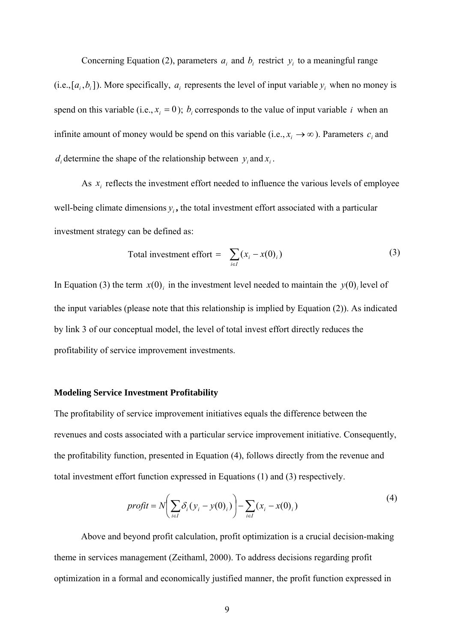Concerning Equation (2), parameters  $a_i$  and  $b_i$  restrict  $y_i$  to a meaningful range  $(i.e., [a_i, b_i])$ . More specifically,  $a_i$  represents the level of input variable  $y_i$  when no money is spend on this variable (i.e.,  $x_i = 0$ );  $b_i$  corresponds to the value of input variable *i* when an infinite amount of money would be spend on this variable (i.e.,  $x_i \rightarrow \infty$ ). Parameters  $c_i$  and  $d_i$  determine the shape of the relationship between  $y_i$  and  $x_i$ .

As  $x_i$  reflects the investment effort needed to influence the various levels of employee well-being climate dimensions  $y_i$ , the total investment effort associated with a particular investment strategy can be defined as:

Total investment effort = 
$$
\sum_{i \in I} (x_i - x(0)_i)
$$
 (3)

In Equation (3) the term  $x(0)$  in the investment level needed to maintain the  $y(0)$  level of the input variables (please note that this relationship is implied by Equation (2)). As indicated by link 3 of our conceptual model, the level of total invest effort directly reduces the profitability of service improvement investments.

#### **Modeling Service Investment Profitability**

The profitability of service improvement initiatives equals the difference between the revenues and costs associated with a particular service improvement initiative. Consequently, the profitability function, presented in Equation (4), follows directly from the revenue and total investment effort function expressed in Equations (1) and (3) respectively.

$$
profit = N \bigg( \sum_{i \in I} \delta_i (y_i - y(0)_i) \bigg) - \sum_{i \in I} (x_i - x(0)_i)
$$
\n(4)

Above and beyond profit calculation, profit optimization is a crucial decision-making theme in services management (Zeithaml, 2000). To address decisions regarding profit optimization in a formal and economically justified manner, the profit function expressed in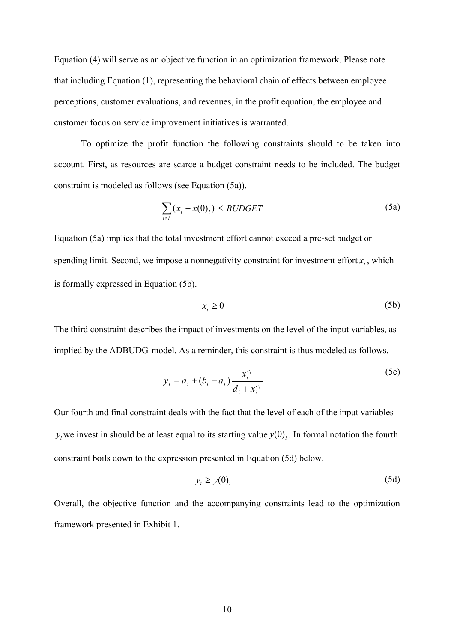Equation (4) will serve as an objective function in an optimization framework. Please note that including Equation (1), representing the behavioral chain of effects between employee perceptions, customer evaluations, and revenues, in the profit equation, the employee and customer focus on service improvement initiatives is warranted.

To optimize the profit function the following constraints should to be taken into account. First, as resources are scarce a budget constraint needs to be included. The budget constraint is modeled as follows (see Equation (5a)).

$$
\sum_{i \in I} (x_i - x(0)_i) \le BUDGET \tag{5a}
$$

Equation (5a) implies that the total investment effort cannot exceed a pre-set budget or spending limit. Second, we impose a nonnegativity constraint for investment effort  $x_i$ , which is formally expressed in Equation (5b).

$$
x_i \ge 0 \tag{5b}
$$

The third constraint describes the impact of investments on the level of the input variables, as implied by the ADBUDG-model. As a reminder, this constraint is thus modeled as follows.

$$
y_i = a_i + (b_i - a_i) \frac{x_i^{c_i}}{d_i + x_i^{c_i}}
$$
 (5c)

Our fourth and final constraint deals with the fact that the level of each of the input variables  $y_i$  we invest in should be at least equal to its starting value  $y(0)$ . In formal notation the fourth constraint boils down to the expression presented in Equation (5d) below.

$$
y_i \ge y(0)_i \tag{5d}
$$

Overall, the objective function and the accompanying constraints lead to the optimization framework presented in Exhibit 1.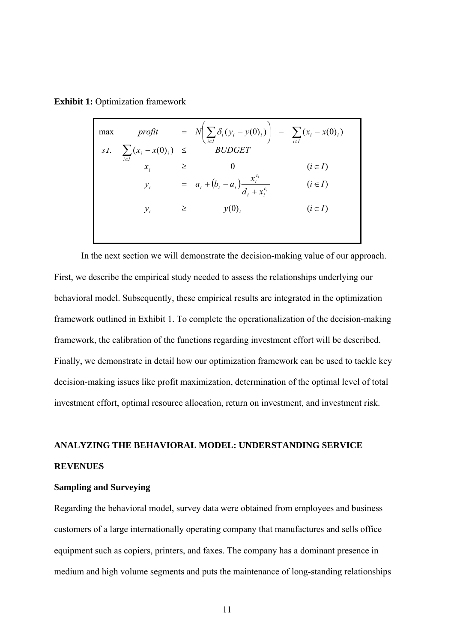**Exhibit 1: Optimization framework** 

| max |                                       |        | <i>profit</i> = $N\left(\sum_{i \in I} \delta_i (y_i - y(0)_i)\right)$ - $\sum_{i \in I} (x_i - x(0)_i)$ |             |
|-----|---------------------------------------|--------|----------------------------------------------------------------------------------------------------------|-------------|
|     | <i>s.t.</i> $\sum (x_i - x(0)_i) \le$ |        | <i>BUDGET</i>                                                                                            |             |
|     | $i \in I$<br>$x_i$                    |        |                                                                                                          | $(i \in I)$ |
|     | $y_i$                                 |        | = $a_i + (b_i - a_i) \frac{x_i^{x_i}}{d_i + x_i^{c_i}}$                                                  | $(i \in I)$ |
|     | $y_i$                                 | $\geq$ | y(0)                                                                                                     | $(i \in I)$ |
|     |                                       |        |                                                                                                          |             |

In the next section we will demonstrate the decision-making value of our approach. First, we describe the empirical study needed to assess the relationships underlying our behavioral model. Subsequently, these empirical results are integrated in the optimization framework outlined in Exhibit 1. To complete the operationalization of the decision-making framework, the calibration of the functions regarding investment effort will be described. Finally, we demonstrate in detail how our optimization framework can be used to tackle key decision-making issues like profit maximization, determination of the optimal level of total investment effort, optimal resource allocation, return on investment, and investment risk.

## **ANALYZING THE BEHAVIORAL MODEL: UNDERSTANDING SERVICE REVENUES**

#### **Sampling and Surveying**

Regarding the behavioral model, survey data were obtained from employees and business customers of a large internationally operating company that manufactures and sells office equipment such as copiers, printers, and faxes. The company has a dominant presence in medium and high volume segments and puts the maintenance of long-standing relationships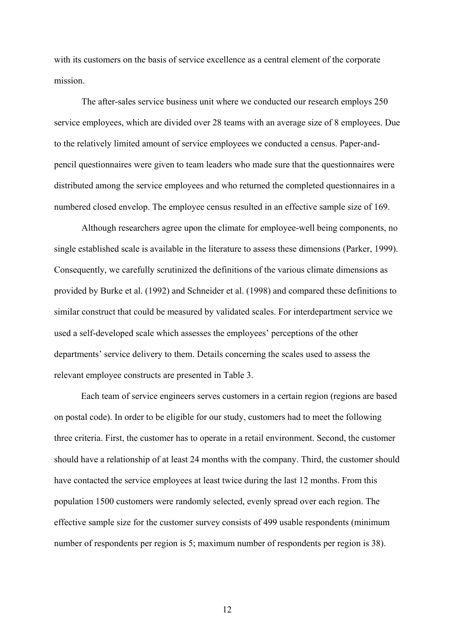with its customers on the basis of service excellence as a central element of the corporate mission.

The after-sales service business unit where we conducted our research employs 250 service employees, which are divided over 28 teams with an average size of 8 employees. Due to the relatively limited amount of service employees we conducted a census. Paper-andpencil questionnaires were given to team leaders who made sure that the questionnaires were distributed among the service employees and who returned the completed questionnaires in a numbered closed envelop. The employee census resulted in an effective sample size of 169.

Although researchers agree upon the climate for employee-well being components, no single established scale is available in the literature to assess these dimensions (Parker, 1999). Consequently, we carefully scrutinized the definitions of the various climate dimensions as provided by Burke et al. (1992) and Schneider et al. (1998) and compared these definitions to similar construct that could be measured by validated scales. For interdepartment service we used a self-developed scale which assesses the employees' perceptions of the other departments' service delivery to them. Details concerning the scales used to assess the relevant employee constructs are presented in Table 3.

Each team of service engineers serves customers in a certain region (regions are based on postal code). In order to be eligible for our study, customers had to meet the following three criteria. First, the customer has to operate in a retail environment. Second, the customer should have a relationship of at least 24 months with the company. Third, the customer should have contacted the service employees at least twice during the last 12 months. From this population 1500 customers were randomly selected, evenly spread over each region. The effective sample size for the customer survey consists of 499 usable respondents (minimum number of respondents per region is 5; maximum number of respondents per region is 38).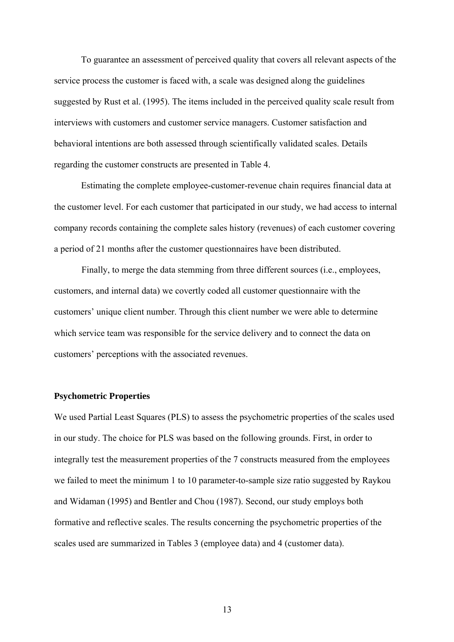To guarantee an assessment of perceived quality that covers all relevant aspects of the service process the customer is faced with, a scale was designed along the guidelines suggested by Rust et al. (1995). The items included in the perceived quality scale result from interviews with customers and customer service managers. Customer satisfaction and behavioral intentions are both assessed through scientifically validated scales. Details regarding the customer constructs are presented in Table 4.

Estimating the complete employee-customer-revenue chain requires financial data at the customer level. For each customer that participated in our study, we had access to internal company records containing the complete sales history (revenues) of each customer covering a period of 21 months after the customer questionnaires have been distributed.

Finally, to merge the data stemming from three different sources (i.e., employees, customers, and internal data) we covertly coded all customer questionnaire with the customers' unique client number. Through this client number we were able to determine which service team was responsible for the service delivery and to connect the data on customers' perceptions with the associated revenues.

#### **Psychometric Properties**

We used Partial Least Squares (PLS) to assess the psychometric properties of the scales used in our study. The choice for PLS was based on the following grounds. First, in order to integrally test the measurement properties of the 7 constructs measured from the employees we failed to meet the minimum 1 to 10 parameter-to-sample size ratio suggested by Raykou and Widaman (1995) and Bentler and Chou (1987). Second, our study employs both formative and reflective scales. The results concerning the psychometric properties of the scales used are summarized in Tables 3 (employee data) and 4 (customer data).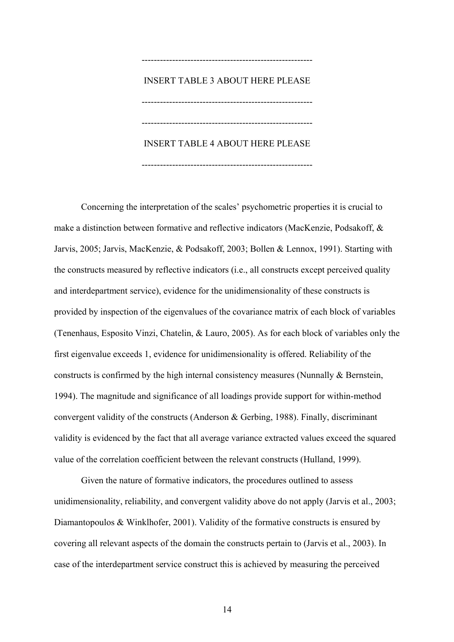# -------------------------------------------------------- INSERT TABLE 3 ABOUT HERE PLEASE  $-$ -------------------------------------------------------- INSERT TABLE 4 ABOUT HERE PLEASE

--------------------------------------------------------

Concerning the interpretation of the scales' psychometric properties it is crucial to make a distinction between formative and reflective indicators (MacKenzie, Podsakoff, & Jarvis, 2005; Jarvis, MacKenzie, & Podsakoff, 2003; Bollen & Lennox, 1991). Starting with the constructs measured by reflective indicators (i.e., all constructs except perceived quality and interdepartment service), evidence for the unidimensionality of these constructs is provided by inspection of the eigenvalues of the covariance matrix of each block of variables (Tenenhaus, Esposito Vinzi, Chatelin, & Lauro, 2005). As for each block of variables only the first eigenvalue exceeds 1, evidence for unidimensionality is offered. Reliability of the constructs is confirmed by the high internal consistency measures (Nunnally & Bernstein, 1994). The magnitude and significance of all loadings provide support for within-method convergent validity of the constructs (Anderson & Gerbing, 1988). Finally, discriminant validity is evidenced by the fact that all average variance extracted values exceed the squared value of the correlation coefficient between the relevant constructs (Hulland, 1999).

Given the nature of formative indicators, the procedures outlined to assess unidimensionality, reliability, and convergent validity above do not apply (Jarvis et al., 2003; Diamantopoulos & Winklhofer, 2001). Validity of the formative constructs is ensured by covering all relevant aspects of the domain the constructs pertain to (Jarvis et al., 2003). In case of the interdepartment service construct this is achieved by measuring the perceived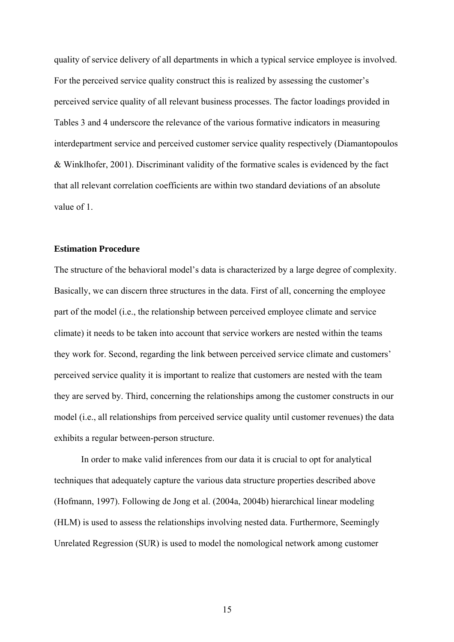quality of service delivery of all departments in which a typical service employee is involved. For the perceived service quality construct this is realized by assessing the customer's perceived service quality of all relevant business processes. The factor loadings provided in Tables 3 and 4 underscore the relevance of the various formative indicators in measuring interdepartment service and perceived customer service quality respectively (Diamantopoulos & Winklhofer, 2001). Discriminant validity of the formative scales is evidenced by the fact that all relevant correlation coefficients are within two standard deviations of an absolute value of 1.

#### **Estimation Procedure**

The structure of the behavioral model's data is characterized by a large degree of complexity. Basically, we can discern three structures in the data. First of all, concerning the employee part of the model (i.e., the relationship between perceived employee climate and service climate) it needs to be taken into account that service workers are nested within the teams they work for. Second, regarding the link between perceived service climate and customers' perceived service quality it is important to realize that customers are nested with the team they are served by. Third, concerning the relationships among the customer constructs in our model (i.e., all relationships from perceived service quality until customer revenues) the data exhibits a regular between-person structure.

In order to make valid inferences from our data it is crucial to opt for analytical techniques that adequately capture the various data structure properties described above (Hofmann, 1997). Following de Jong et al. (2004a, 2004b) hierarchical linear modeling (HLM) is used to assess the relationships involving nested data. Furthermore, Seemingly Unrelated Regression (SUR) is used to model the nomological network among customer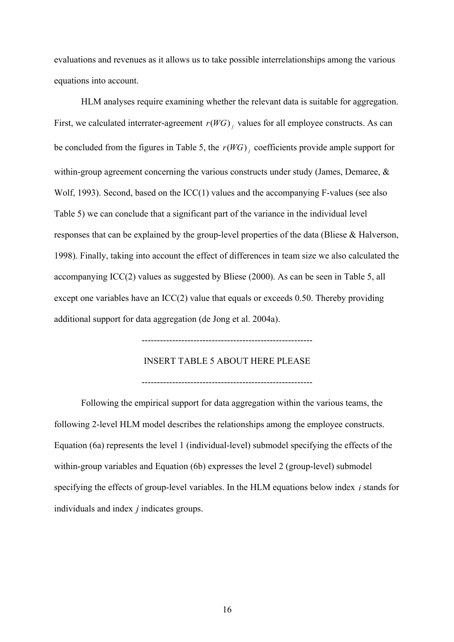evaluations and revenues as it allows us to take possible interrelationships among the various equations into account.

HLM analyses require examining whether the relevant data is suitable for aggregation. First, we calculated interrater-agreement  $r(WG)$ , values for all employee constructs. As can be concluded from the figures in Table 5, the  $r(WG)$  coefficients provide ample support for within-group agreement concerning the various constructs under study (James, Demaree, & Wolf, 1993). Second, based on the ICC(1) values and the accompanying F-values (see also Table 5) we can conclude that a significant part of the variance in the individual level responses that can be explained by the group-level properties of the data (Bliese & Halverson, 1998). Finally, taking into account the effect of differences in team size we also calculated the accompanying ICC(2) values as suggested by Bliese (2000). As can be seen in Table 5, all except one variables have an ICC(2) value that equals or exceeds 0.50. Thereby providing additional support for data aggregation (de Jong et al. 2004a).

--------------------------------------------------------

INSERT TABLE 5 ABOUT HERE PLEASE

--------------------------------------------------------

Following the empirical support for data aggregation within the various teams, the following 2-level HLM model describes the relationships among the employee constructs. Equation (6a) represents the level 1 (individual-level) submodel specifying the effects of the within-group variables and Equation (6b) expresses the level 2 (group-level) submodel specifying the effects of group-level variables. In the HLM equations below index  $i$  stands for individuals and index *j* indicates groups.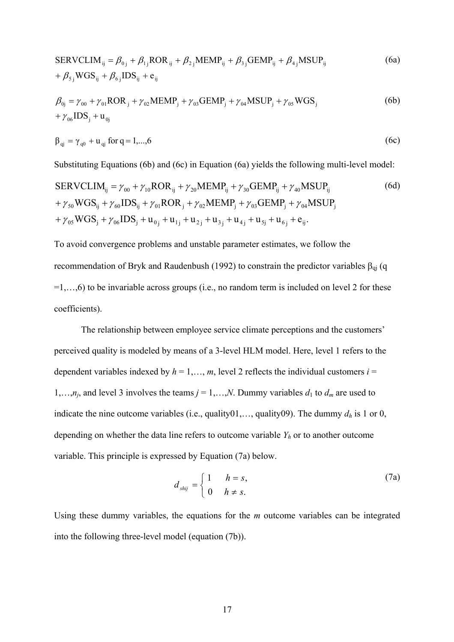$$
SERVCLIM_{ij} = \beta_{0j} + \beta_{1j}ROR_{ij} + \beta_{2j} MEMP_{ij} + \beta_{3j} GEMP_{ij} + \beta_{4j} MSUP_{ij}
$$
\n
$$
+ \beta_{5j} WGS_{ij} + \beta_{6j} IDs_{ij} + e_{ij}
$$
\n(6a)

$$
\beta_{0j} = \gamma_{00} + \gamma_{01} ROR_j + \gamma_{02} MEMP_j + \gamma_{03} GEMP_j + \gamma_{04} MSUP_j + \gamma_{05} WGS_j
$$
\n
$$
+ \gamma_{06} IDS_j + u_{0j}
$$
\n(6b)

$$
\beta_{qi} = \gamma_{q0} + u_{qi} \text{ for } q = 1,\dots,6
$$
 (6c)

Substituting Equations (6b) and (6c) in Equation (6a) yields the following multi-level model:

$$
SERVCLIM_{ij} = \gamma_{00} + \gamma_{10}ROR_{ij} + \gamma_{20}MEMP_{ij} + \gamma_{30}GEMP_{ij} + \gamma_{40}MSUP_{ij}
$$
(6d)  
+ $\gamma_{50}WGS_{ij} + \gamma_{60}IDS_{ij} + \gamma_{01}ROR_{j} + \gamma_{02}MEMP_{j} + \gamma_{03}GEMP_{j} + \gamma_{04}MSUP_{j}$   
+ $\gamma_{05}WGS_{j} + \gamma_{06}IDS_{j} + u_{0j} + u_{1j} + u_{2j} + u_{3j} + u_{4j} + u_{5j} + u_{6j} + e_{ij}$ .

To avoid convergence problems and unstable parameter estimates, we follow the recommendation of Bryk and Raudenbush (1992) to constrain the predictor variables  $\beta_{qi}$  (q  $=1,...,6$ ) to be invariable across groups (i.e., no random term is included on level 2 for these coefficients).

The relationship between employee service climate perceptions and the customers' perceived quality is modeled by means of a 3-level HLM model. Here, level 1 refers to the dependent variables indexed by  $h = 1, \ldots, m$ , level 2 reflects the individual customers  $i =$ 1,…,*n<sub>j</sub>*, and level 3 involves the teams  $j = 1,...,N$ . Dummy variables  $d_1$  to  $d_m$  are used to indicate the nine outcome variables (i.e., quality01,..., quality09). The dummy  $d_h$  is 1 or 0, depending on whether the data line refers to outcome variable  $Y_h$  or to another outcome variable. This principle is expressed by Equation (7a) below.

$$
d_{\text{shij}} = \begin{cases} 1 & h = s, \\ 0 & h \neq s. \end{cases} \tag{7a}
$$

Using these dummy variables, the equations for the *m* outcome variables can be integrated into the following three-level model (equation (7b)).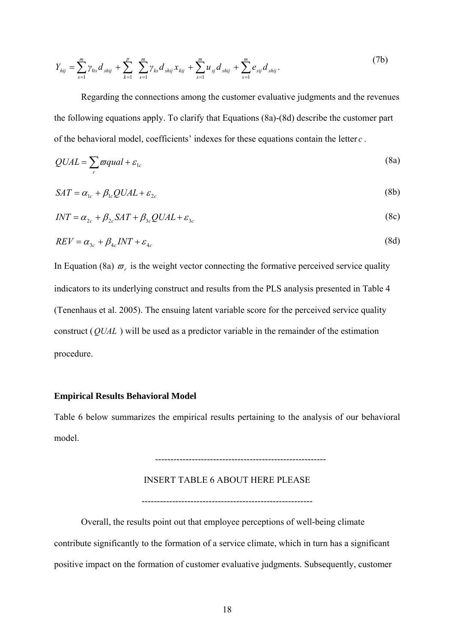$$
Y_{hij} = \sum_{s=1}^{m} \gamma_{0s} d_{shij} + \sum_{k=1}^{p} \sum_{s=1}^{m} \gamma_{ks} d_{shij} x_{kij} + \sum_{s=1}^{m} u_{sj} d_{shij} + \sum_{s=1}^{m} e_{sj} d_{shij}.
$$
 (7b)

Regarding the connections among the customer evaluative judgments and the revenues the following equations apply. To clarify that Equations (8a)-(8d) describe the customer part of the behavioral model, coefficients' indexes for these equations contain the letter *c* .

$$
QUAL = \sum_{r} \varpi \, \alpha \, \mathrm{quad} + \varepsilon_{1c} \tag{8a}
$$

$$
SAT = \alpha_{1c} + \beta_{1c} QUAL + \varepsilon_{2c}
$$
 (8b)

$$
INT = \alpha_{2c} + \beta_{2c} SAT + \beta_{3c} QUAL + \varepsilon_{3c}
$$
\n(8c)

$$
REV = \alpha_{3c} + \beta_{4c} INT + \varepsilon_{4c} \tag{8d}
$$

In Equation (8a)  $\varpi_r$  is the weight vector connecting the formative perceived service quality indicators to its underlying construct and results from the PLS analysis presented in Table 4 (Tenenhaus et al. 2005). The ensuing latent variable score for the perceived service quality construct  $(QUAL)$  will be used as a predictor variable in the remainder of the estimation procedure.

#### **Empirical Results Behavioral Model**

Table 6 below summarizes the empirical results pertaining to the analysis of our behavioral model.

--------------------------------------------------------

#### INSERT TABLE 6 ABOUT HERE PLEASE

--------------------------------------------------------

Overall, the results point out that employee perceptions of well-being climate contribute significantly to the formation of a service climate, which in turn has a significant positive impact on the formation of customer evaluative judgments. Subsequently, customer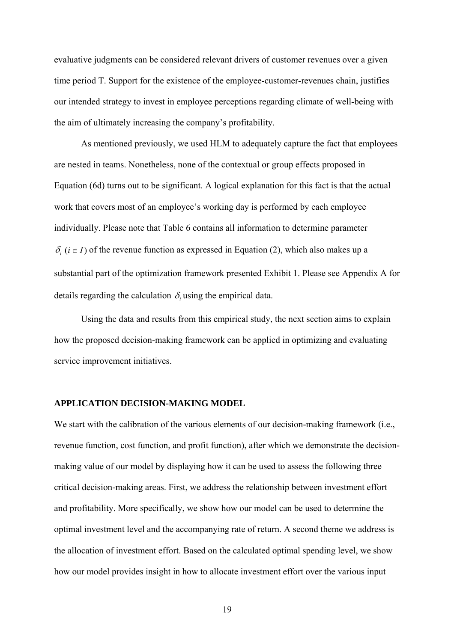evaluative judgments can be considered relevant drivers of customer revenues over a given time period T. Support for the existence of the employee-customer-revenues chain, justifies our intended strategy to invest in employee perceptions regarding climate of well-being with the aim of ultimately increasing the company's profitability.

As mentioned previously, we used HLM to adequately capture the fact that employees are nested in teams. Nonetheless, none of the contextual or group effects proposed in Equation (6d) turns out to be significant. A logical explanation for this fact is that the actual work that covers most of an employee's working day is performed by each employee individually. Please note that Table 6 contains all information to determine parameter  $\delta_i$  ( $i \in I$ ) of the revenue function as expressed in Equation (2), which also makes up a substantial part of the optimization framework presented Exhibit 1. Please see Appendix A for details regarding the calculation  $\delta_i$  using the empirical data.

Using the data and results from this empirical study, the next section aims to explain how the proposed decision-making framework can be applied in optimizing and evaluating service improvement initiatives.

#### **APPLICATION DECISION-MAKING MODEL**

We start with the calibration of the various elements of our decision-making framework (i.e., revenue function, cost function, and profit function), after which we demonstrate the decisionmaking value of our model by displaying how it can be used to assess the following three critical decision-making areas. First, we address the relationship between investment effort and profitability. More specifically, we show how our model can be used to determine the optimal investment level and the accompanying rate of return. A second theme we address is the allocation of investment effort. Based on the calculated optimal spending level, we show how our model provides insight in how to allocate investment effort over the various input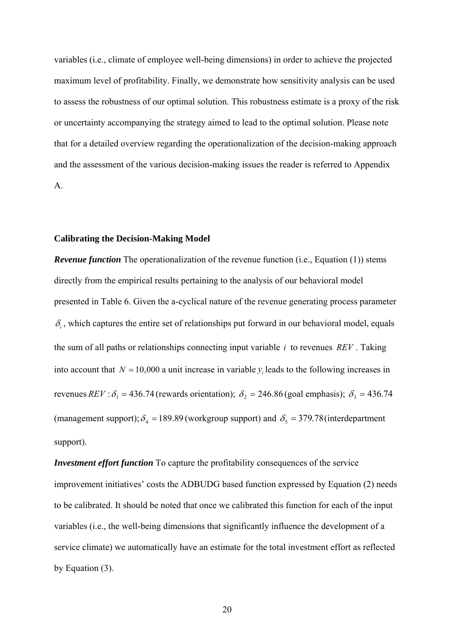variables (i.e., climate of employee well-being dimensions) in order to achieve the projected maximum level of profitability. Finally, we demonstrate how sensitivity analysis can be used to assess the robustness of our optimal solution. This robustness estimate is a proxy of the risk or uncertainty accompanying the strategy aimed to lead to the optimal solution. Please note that for a detailed overview regarding the operationalization of the decision-making approach and the assessment of the various decision-making issues the reader is referred to Appendix A.

#### **Calibrating the Decision-Making Model**

*Revenue function* The operationalization of the revenue function (i.e., Equation (1)) stems directly from the empirical results pertaining to the analysis of our behavioral model presented in Table 6. Given the a-cyclical nature of the revenue generating process parameter  $\delta_i$ , which captures the entire set of relationships put forward in our behavioral model, equals the sum of all paths or relationships connecting input variable  $i$  to revenues  $REV$ . Taking into account that  $N = 10,000$  a unit increase in variable  $y_i$  leads to the following increases in revenues  $REV : \delta_1 = 436.74$  (rewards orientation);  $\delta_2 = 246.86$  (goal emphasis);  $\delta_3 = 436.74$ (management support);  $\delta_4 = 189.89$  (workgroup support) and  $\delta_5 = 379.78$  (interdepartment support).

*Investment effort function* To capture the profitability consequences of the service improvement initiatives' costs the ADBUDG based function expressed by Equation (2) needs to be calibrated. It should be noted that once we calibrated this function for each of the input variables (i.e., the well-being dimensions that significantly influence the development of a service climate) we automatically have an estimate for the total investment effort as reflected by Equation (3).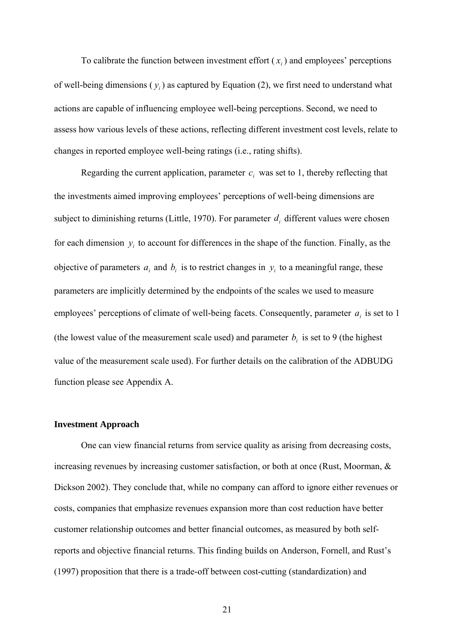To calibrate the function between investment effort  $(x_i)$  and employees' perceptions of well-being dimensions  $(y_i)$  as captured by Equation (2), we first need to understand what actions are capable of influencing employee well-being perceptions. Second, we need to assess how various levels of these actions, reflecting different investment cost levels, relate to changes in reported employee well-being ratings (i.e., rating shifts).

Regarding the current application, parameter  $c_i$  was set to 1, thereby reflecting that the investments aimed improving employees' perceptions of well-being dimensions are subject to diminishing returns (Little, 1970). For parameter  $d_i$  different values were chosen for each dimension  $y_i$  to account for differences in the shape of the function. Finally, as the objective of parameters  $a_i$  and  $b_i$  is to restrict changes in  $y_i$  to a meaningful range, these parameters are implicitly determined by the endpoints of the scales we used to measure employees' perceptions of climate of well-being facets. Consequently, parameter  $a_i$  is set to 1 (the lowest value of the measurement scale used) and parameter  $b_i$  is set to 9 (the highest value of the measurement scale used). For further details on the calibration of the ADBUDG function please see Appendix A.

#### **Investment Approach**

One can view financial returns from service quality as arising from decreasing costs, increasing revenues by increasing customer satisfaction, or both at once (Rust, Moorman, & Dickson 2002). They conclude that, while no company can afford to ignore either revenues or costs, companies that emphasize revenues expansion more than cost reduction have better customer relationship outcomes and better financial outcomes, as measured by both selfreports and objective financial returns. This finding builds on Anderson, Fornell, and Rust's (1997) proposition that there is a trade-off between cost-cutting (standardization) and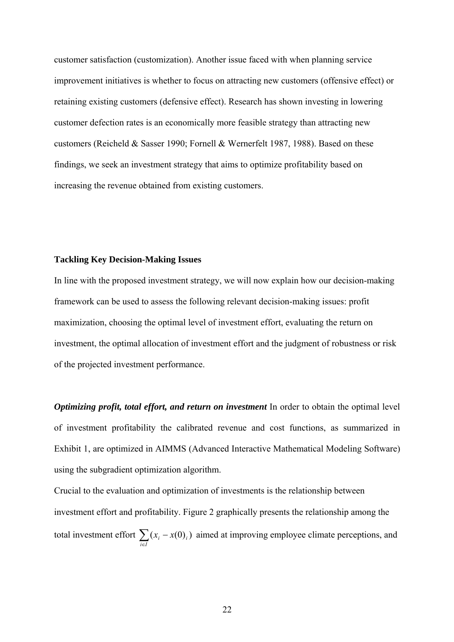customer satisfaction (customization). Another issue faced with when planning service improvement initiatives is whether to focus on attracting new customers (offensive effect) or retaining existing customers (defensive effect). Research has shown investing in lowering customer defection rates is an economically more feasible strategy than attracting new customers (Reicheld & Sasser 1990; Fornell & Wernerfelt 1987, 1988). Based on these findings, we seek an investment strategy that aims to optimize profitability based on increasing the revenue obtained from existing customers.

#### **Tackling Key Decision-Making Issues**

In line with the proposed investment strategy, we will now explain how our decision-making framework can be used to assess the following relevant decision-making issues: profit maximization, choosing the optimal level of investment effort, evaluating the return on investment, the optimal allocation of investment effort and the judgment of robustness or risk of the projected investment performance.

*Optimizing profit, total effort, and return on investment* In order to obtain the optimal level of investment profitability the calibrated revenue and cost functions, as summarized in Exhibit 1, are optimized in AIMMS (Advanced Interactive Mathematical Modeling Software) using the subgradient optimization algorithm.

Crucial to the evaluation and optimization of investments is the relationship between investment effort and profitability. Figure 2 graphically presents the relationship among the total investment effort  $\sum_{i \in I} (x_i -$ *Ii*  $(x_i - x(0)_i)$  aimed at improving employee climate perceptions, and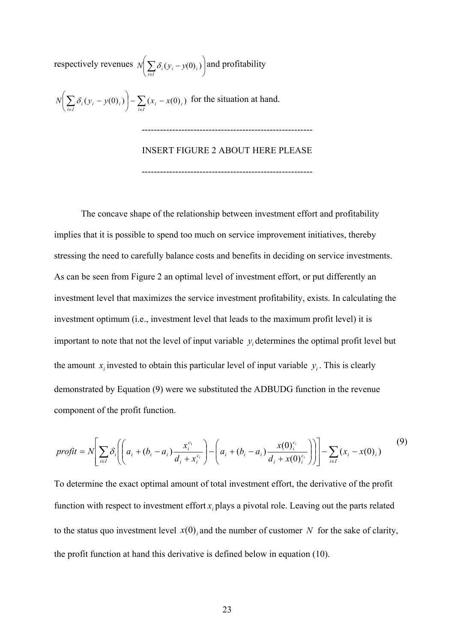respectively revenues  $N \sum \delta_i (y_i - y(0)_i)$  and profitability ⎠  $\left(\sum \delta_i (y_i - y(0)_i)\right)$ ⎝  $N\left(\sum_{i\in I} \delta_i (y_i - y(0)_i)\right)$  and profitability  $\left(\sum_{i\in I}\delta_i(y_i-y(0)_i)\right)-\sum_{i\in I}(x_i-$ ⎝  $\int \sum \delta_i (y_i N\left(\sum_{i\in I} \delta_i (y_i - y(0)_i)\right) - \sum_{i\in I} (x_i - x(0)_i)$  for the situation at hand. -------------------------------------------------------- INSERT FIGURE 2 ABOUT HERE PLEASE

--------------------------------------------------------

The concave shape of the relationship between investment effort and profitability implies that it is possible to spend too much on service improvement initiatives, thereby stressing the need to carefully balance costs and benefits in deciding on service investments. As can be seen from Figure 2 an optimal level of investment effort, or put differently an investment level that maximizes the service investment profitability, exists. In calculating the investment optimum (i.e., investment level that leads to the maximum profit level) it is important to note that not the level of input variable  $y_i$  determines the optimal profit level but the amount  $x_i$  invested to obtain this particular level of input variable  $y_i$ . This is clearly demonstrated by Equation (9) were we substituted the ADBUDG function in the revenue component of the profit function.

$$
profit = N \left[ \sum_{i \in I} \delta_i \left( \left( a_i + (b_i - a_i) \frac{x_i^{c_i}}{d_i + x_i^{c_i}} \right) - \left( a_i + (b_i - a_i) \frac{x(0_i^{c_i})}{d_i + x(0_i^{c_i})} \right) \right) \right] - \sum_{i \in I} (x_i - x(0_i)) \tag{9}
$$

To determine the exact optimal amount of total investment effort, the derivative of the profit function with respect to investment effort  $x_i$  plays a pivotal role. Leaving out the parts related to the status quo investment level  $x(0)$  and the number of customer N for the sake of clarity, the profit function at hand this derivative is defined below in equation (10).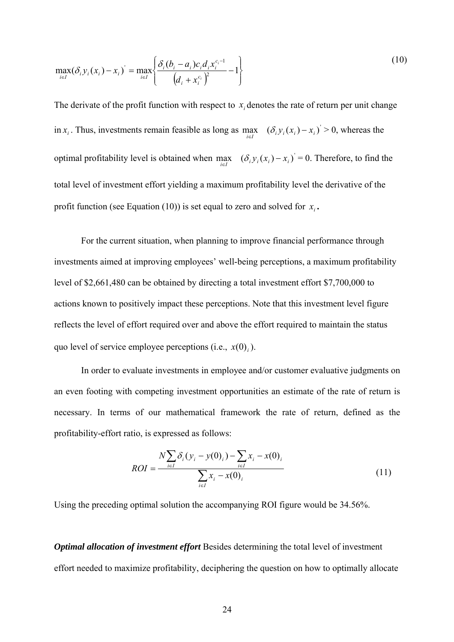$$
\max_{i \in I} (\delta_i y_i(x_i) - x_i) = \max_{i \in I} \left\{ \frac{\delta_i (b_i - a_i) c_i d_i x_i^{c_i - 1}}{(d_i + x_i^{c_i})^2} - 1 \right\}
$$
(10)

The derivate of the profit function with respect to  $x_i$  denotes the rate of return per unit change in  $x_i$ . Thus, investments remain feasible as long as  $\max_{i \in I}$   $(\delta_i y_i(x_i) - x_i) > 0$ , whereas the optimal profitability level is obtained when  $\max_{i \in I}$   $(\delta_i y_i(x_i) - x_i) = 0$ . Therefore, to find the total level of investment effort yielding a maximum profitability level the derivative of the profit function (see Equation (10)) is set equal to zero and solved for  $x_i$ .

For the current situation, when planning to improve financial performance through investments aimed at improving employees' well-being perceptions, a maximum profitability level of \$2,661,480 can be obtained by directing a total investment effort \$7,700,000 to actions known to positively impact these perceptions. Note that this investment level figure reflects the level of effort required over and above the effort required to maintain the status quo level of service employee perceptions (i.e.,  $x(0)$ ).

In order to evaluate investments in employee and/or customer evaluative judgments on an even footing with competing investment opportunities an estimate of the rate of return is necessary. In terms of our mathematical framework the rate of return, defined as the profitability-effort ratio, is expressed as follows:

$$
ROI = \frac{N \sum_{i \in I} \delta_i (y_i - y(0)_i) - \sum_{i \in I} x_i - x(0)_i}{\sum_{i \in I} x_i - x(0)_i}
$$
(11)

Using the preceding optimal solution the accompanying ROI figure would be 34.56%.

*Optimal allocation of investment effort* Besides determining the total level of investment effort needed to maximize profitability, deciphering the question on how to optimally allocate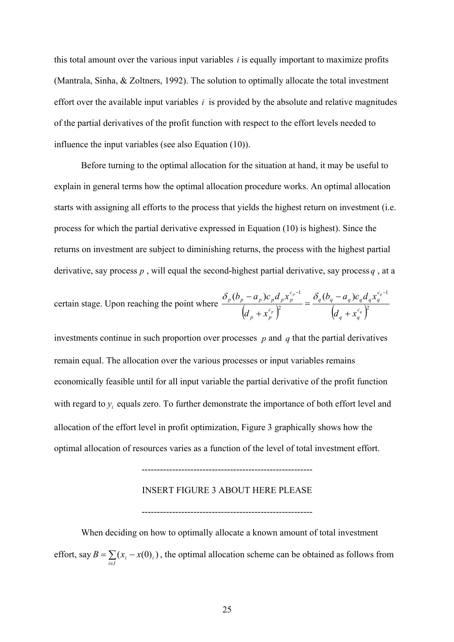this total amount over the various input variables  $i$  is equally important to maximize profits (Mantrala, Sinha, & Zoltners, 1992). The solution to optimally allocate the total investment effort over the available input variables  $i$  is provided by the absolute and relative magnitudes of the partial derivatives of the profit function with respect to the effort levels needed to influence the input variables (see also Equation (10)).

Before turning to the optimal allocation for the situation at hand, it may be useful to explain in general terms how the optimal allocation procedure works. An optimal allocation starts with assigning all efforts to the process that yields the highest return on investment (i.e. process for which the partial derivative expressed in Equation (10) is highest). Since the returns on investment are subject to diminishing returns, the process with the highest partial derivative, say process  $p$ , will equal the second-highest partial derivative, say process  $q$ , at a

certain stage. Upon reaching the point where 
$$
\frac{\delta_p (b_p - a_p) c_p d_p x_p^{c_p - 1}}{(d_p + x_p^{c_p})^2} = \frac{\delta_q (b_q - a_q) c_q d_q x_q^{c_q - 1}}{(d_q + x_q^{c_q})^2}
$$

investments continue in such proportion over processes  $p$  and  $q$  that the partial derivatives remain equal. The allocation over the various processes or input variables remains economically feasible until for all input variable the partial derivative of the profit function with regard to  $y_i$  equals zero. To further demonstrate the importance of both effort level and allocation of the effort level in profit optimization, Figure 3 graphically shows how the optimal allocation of resources varies as a function of the level of total investment effort.

#### INSERT FIGURE 3 ABOUT HERE PLEASE

--------------------------------------------------------

--------------------------------------------------------

When deciding on how to optimally allocate a known amount of total investment effort, say  $B = \sum_{i \in I} (x_i - x(0)_i)$ , the optimal allocation scheme can be obtained as follows from  $=\sum (x_i B = \sum_{i \in I} (x_i - x(0)_i)$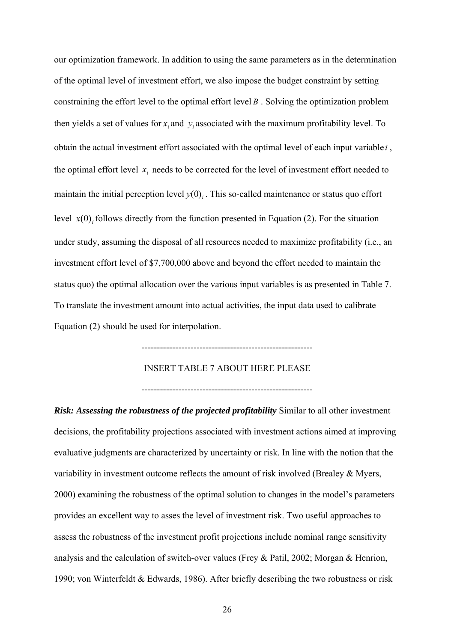our optimization framework. In addition to using the same parameters as in the determination of the optimal level of investment effort, we also impose the budget constraint by setting constraining the effort level to the optimal effort level *B* . Solving the optimization problem then yields a set of values for  $x_i$  and  $y_i$  associated with the maximum profitability level. To obtain the actual investment effort associated with the optimal level of each input variable *i* , the optimal effort level  $x_i$  needs to be corrected for the level of investment effort needed to maintain the initial perception level  $y(0)$ , This so-called maintenance or status quo effort level  $x(0)$ , follows directly from the function presented in Equation (2). For the situation under study, assuming the disposal of all resources needed to maximize profitability (i.e., an investment effort level of \$7,700,000 above and beyond the effort needed to maintain the status quo) the optimal allocation over the various input variables is as presented in Table 7. To translate the investment amount into actual activities, the input data used to calibrate Equation (2) should be used for interpolation.

#### INSERT TABLE 7 ABOUT HERE PLEASE

--------------------------------------------------------

--------------------------------------------------------

*Risk: Assessing the robustness of the projected profitability* Similar to all other investment decisions, the profitability projections associated with investment actions aimed at improving evaluative judgments are characterized by uncertainty or risk. In line with the notion that the variability in investment outcome reflects the amount of risk involved (Brealey & Myers, 2000) examining the robustness of the optimal solution to changes in the model's parameters provides an excellent way to asses the level of investment risk. Two useful approaches to assess the robustness of the investment profit projections include nominal range sensitivity analysis and the calculation of switch-over values (Frey & Patil, 2002; Morgan & Henrion, 1990; von Winterfeldt & Edwards, 1986). After briefly describing the two robustness or risk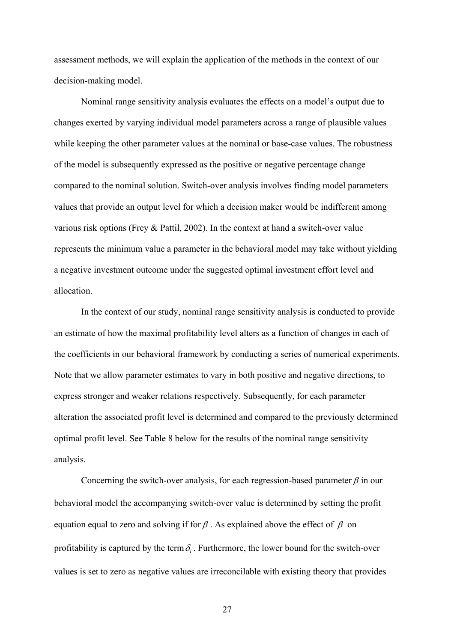assessment methods, we will explain the application of the methods in the context of our decision-making model.

Nominal range sensitivity analysis evaluates the effects on a model's output due to changes exerted by varying individual model parameters across a range of plausible values while keeping the other parameter values at the nominal or base-case values. The robustness of the model is subsequently expressed as the positive or negative percentage change compared to the nominal solution. Switch-over analysis involves finding model parameters values that provide an output level for which a decision maker would be indifferent among various risk options (Frey & Pattil, 2002). In the context at hand a switch-over value represents the minimum value a parameter in the behavioral model may take without yielding a negative investment outcome under the suggested optimal investment effort level and allocation.

In the context of our study, nominal range sensitivity analysis is conducted to provide an estimate of how the maximal profitability level alters as a function of changes in each of the coefficients in our behavioral framework by conducting a series of numerical experiments. Note that we allow parameter estimates to vary in both positive and negative directions, to express stronger and weaker relations respectively. Subsequently, for each parameter alteration the associated profit level is determined and compared to the previously determined optimal profit level. See Table 8 below for the results of the nominal range sensitivity analysis.

Concerning the switch-over analysis, for each regression-based parameter  $\beta$  in our behavioral model the accompanying switch-over value is determined by setting the profit equation equal to zero and solving if for  $\beta$ . As explained above the effect of  $\beta$  on profitability is captured by the term  $\delta_i$ . Furthermore, the lower bound for the switch-over values is set to zero as negative values are irreconcilable with existing theory that provides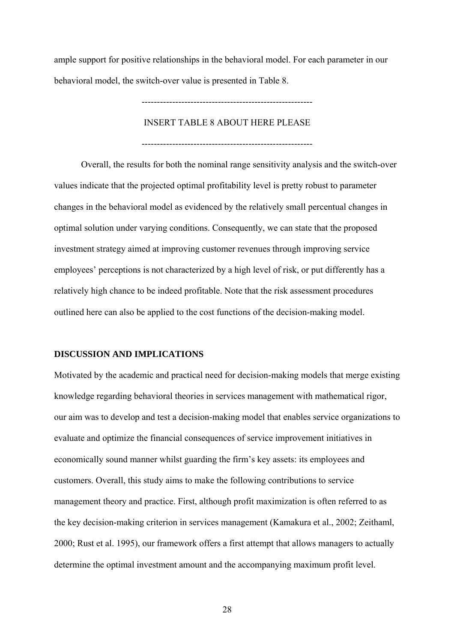ample support for positive relationships in the behavioral model. For each parameter in our behavioral model, the switch-over value is presented in Table 8.

INSERT TABLE 8 ABOUT HERE PLEASE

--------------------------------------------------------

--------------------------------------------------------

Overall, the results for both the nominal range sensitivity analysis and the switch-over values indicate that the projected optimal profitability level is pretty robust to parameter changes in the behavioral model as evidenced by the relatively small percentual changes in optimal solution under varying conditions. Consequently, we can state that the proposed investment strategy aimed at improving customer revenues through improving service employees' perceptions is not characterized by a high level of risk, or put differently has a relatively high chance to be indeed profitable. Note that the risk assessment procedures outlined here can also be applied to the cost functions of the decision-making model.

#### **DISCUSSION AND IMPLICATIONS**

Motivated by the academic and practical need for decision-making models that merge existing knowledge regarding behavioral theories in services management with mathematical rigor, our aim was to develop and test a decision-making model that enables service organizations to evaluate and optimize the financial consequences of service improvement initiatives in economically sound manner whilst guarding the firm's key assets: its employees and customers. Overall, this study aims to make the following contributions to service management theory and practice. First, although profit maximization is often referred to as the key decision-making criterion in services management (Kamakura et al., 2002; Zeithaml, 2000; Rust et al. 1995), our framework offers a first attempt that allows managers to actually determine the optimal investment amount and the accompanying maximum profit level.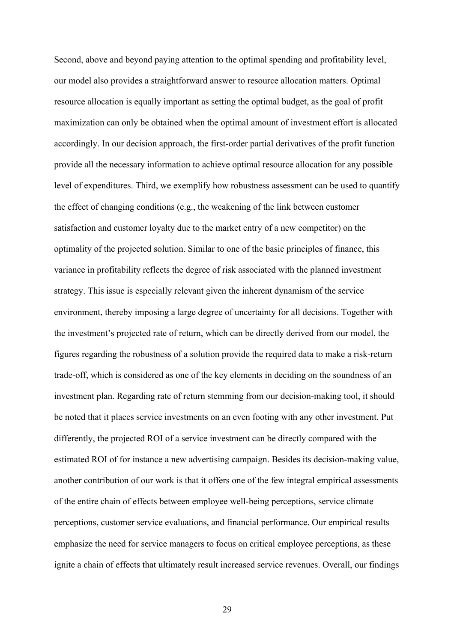Second, above and beyond paying attention to the optimal spending and profitability level, our model also provides a straightforward answer to resource allocation matters. Optimal resource allocation is equally important as setting the optimal budget, as the goal of profit maximization can only be obtained when the optimal amount of investment effort is allocated accordingly. In our decision approach, the first-order partial derivatives of the profit function provide all the necessary information to achieve optimal resource allocation for any possible level of expenditures. Third, we exemplify how robustness assessment can be used to quantify the effect of changing conditions (e.g., the weakening of the link between customer satisfaction and customer loyalty due to the market entry of a new competitor) on the optimality of the projected solution. Similar to one of the basic principles of finance, this variance in profitability reflects the degree of risk associated with the planned investment strategy. This issue is especially relevant given the inherent dynamism of the service environment, thereby imposing a large degree of uncertainty for all decisions. Together with the investment's projected rate of return, which can be directly derived from our model, the figures regarding the robustness of a solution provide the required data to make a risk-return trade-off, which is considered as one of the key elements in deciding on the soundness of an investment plan. Regarding rate of return stemming from our decision-making tool, it should be noted that it places service investments on an even footing with any other investment. Put differently, the projected ROI of a service investment can be directly compared with the estimated ROI of for instance a new advertising campaign. Besides its decision-making value, another contribution of our work is that it offers one of the few integral empirical assessments of the entire chain of effects between employee well-being perceptions, service climate perceptions, customer service evaluations, and financial performance. Our empirical results emphasize the need for service managers to focus on critical employee perceptions, as these ignite a chain of effects that ultimately result increased service revenues. Overall, our findings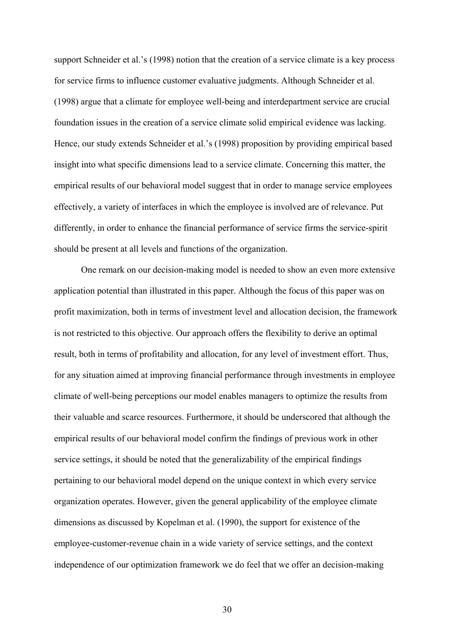support Schneider et al.'s (1998) notion that the creation of a service climate is a key process for service firms to influence customer evaluative judgments. Although Schneider et al. (1998) argue that a climate for employee well-being and interdepartment service are crucial foundation issues in the creation of a service climate solid empirical evidence was lacking. Hence, our study extends Schneider et al.'s (1998) proposition by providing empirical based insight into what specific dimensions lead to a service climate. Concerning this matter, the empirical results of our behavioral model suggest that in order to manage service employees effectively, a variety of interfaces in which the employee is involved are of relevance. Put differently, in order to enhance the financial performance of service firms the service-spirit should be present at all levels and functions of the organization.

One remark on our decision-making model is needed to show an even more extensive application potential than illustrated in this paper. Although the focus of this paper was on profit maximization, both in terms of investment level and allocation decision, the framework is not restricted to this objective. Our approach offers the flexibility to derive an optimal result, both in terms of profitability and allocation, for any level of investment effort. Thus, for any situation aimed at improving financial performance through investments in employee climate of well-being perceptions our model enables managers to optimize the results from their valuable and scarce resources. Furthermore, it should be underscored that although the empirical results of our behavioral model confirm the findings of previous work in other service settings, it should be noted that the generalizability of the empirical findings pertaining to our behavioral model depend on the unique context in which every service organization operates. However, given the general applicability of the employee climate dimensions as discussed by Kopelman et al. (1990), the support for existence of the employee-customer-revenue chain in a wide variety of service settings, and the context independence of our optimization framework we do feel that we offer an decision-making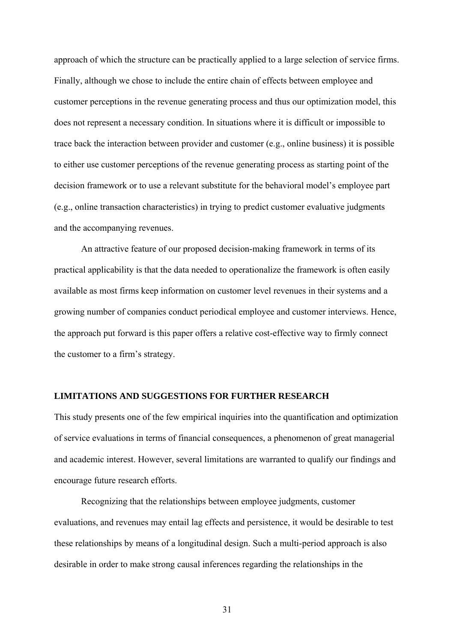approach of which the structure can be practically applied to a large selection of service firms. Finally, although we chose to include the entire chain of effects between employee and customer perceptions in the revenue generating process and thus our optimization model, this does not represent a necessary condition. In situations where it is difficult or impossible to trace back the interaction between provider and customer (e.g., online business) it is possible to either use customer perceptions of the revenue generating process as starting point of the decision framework or to use a relevant substitute for the behavioral model's employee part (e.g., online transaction characteristics) in trying to predict customer evaluative judgments and the accompanying revenues.

An attractive feature of our proposed decision-making framework in terms of its practical applicability is that the data needed to operationalize the framework is often easily available as most firms keep information on customer level revenues in their systems and a growing number of companies conduct periodical employee and customer interviews. Hence, the approach put forward is this paper offers a relative cost-effective way to firmly connect the customer to a firm's strategy.

#### **LIMITATIONS AND SUGGESTIONS FOR FURTHER RESEARCH**

This study presents one of the few empirical inquiries into the quantification and optimization of service evaluations in terms of financial consequences, a phenomenon of great managerial and academic interest. However, several limitations are warranted to qualify our findings and encourage future research efforts.

Recognizing that the relationships between employee judgments, customer evaluations, and revenues may entail lag effects and persistence, it would be desirable to test these relationships by means of a longitudinal design. Such a multi-period approach is also desirable in order to make strong causal inferences regarding the relationships in the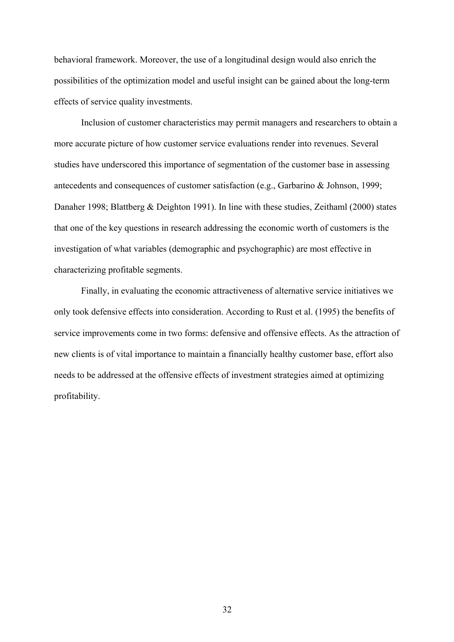behavioral framework. Moreover, the use of a longitudinal design would also enrich the possibilities of the optimization model and useful insight can be gained about the long-term effects of service quality investments.

Inclusion of customer characteristics may permit managers and researchers to obtain a more accurate picture of how customer service evaluations render into revenues. Several studies have underscored this importance of segmentation of the customer base in assessing antecedents and consequences of customer satisfaction (e.g., Garbarino & Johnson, 1999; Danaher 1998; Blattberg & Deighton 1991). In line with these studies, Zeithaml (2000) states that one of the key questions in research addressing the economic worth of customers is the investigation of what variables (demographic and psychographic) are most effective in characterizing profitable segments.

Finally, in evaluating the economic attractiveness of alternative service initiatives we only took defensive effects into consideration. According to Rust et al. (1995) the benefits of service improvements come in two forms: defensive and offensive effects. As the attraction of new clients is of vital importance to maintain a financially healthy customer base, effort also needs to be addressed at the offensive effects of investment strategies aimed at optimizing profitability.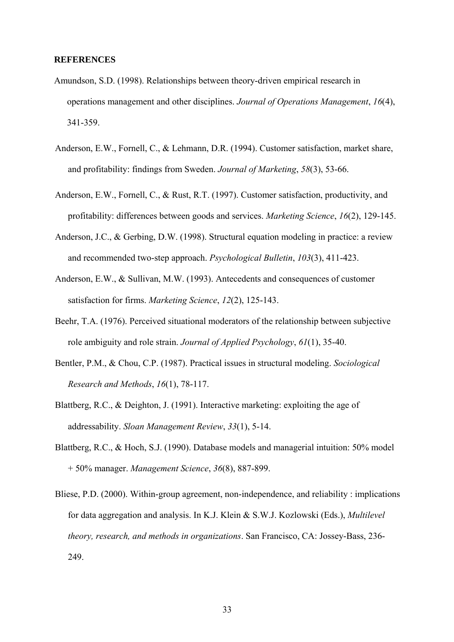#### **REFERENCES**

- Amundson, S.D. (1998). Relationships between theory-driven empirical research in operations management and other disciplines. *Journal of Operations Management*, *16*(4), 341-359.
- Anderson, E.W., Fornell, C., & Lehmann, D.R. (1994). Customer satisfaction, market share, and profitability: findings from Sweden. *Journal of Marketing*, *58*(3), 53-66.
- Anderson, E.W., Fornell, C., & Rust, R.T. (1997). Customer satisfaction, productivity, and profitability: differences between goods and services. *Marketing Science*, *16*(2), 129-145.
- Anderson, J.C., & Gerbing, D.W. (1998). Structural equation modeling in practice: a review and recommended two-step approach. *Psychological Bulletin*, *103*(3), 411-423.
- Anderson, E.W., & Sullivan, M.W. (1993). Antecedents and consequences of customer satisfaction for firms. *Marketing Science*, *12*(2), 125-143.
- Beehr, T.A. (1976). Perceived situational moderators of the relationship between subjective role ambiguity and role strain. *Journal of Applied Psychology*, *61*(1), 35-40.
- Bentler, P.M., & Chou, C.P. (1987). Practical issues in structural modeling. *Sociological Research and Methods*, *16*(1), 78-117.
- Blattberg, R.C., & Deighton, J. (1991). Interactive marketing: exploiting the age of addressability. *Sloan Management Review*, *33*(1), 5-14.
- Blattberg, R.C., & Hoch, S.J. (1990). Database models and managerial intuition: 50% model + 50% manager. *Management Science*, *36*(8), 887-899.
- Bliese, P.D. (2000). Within-group agreement, non-independence, and reliability : implications for data aggregation and analysis. In K.J. Klein & S.W.J. Kozlowski (Eds.), *Multilevel theory, research, and methods in organizations*. San Francisco, CA: Jossey-Bass, 236- 249.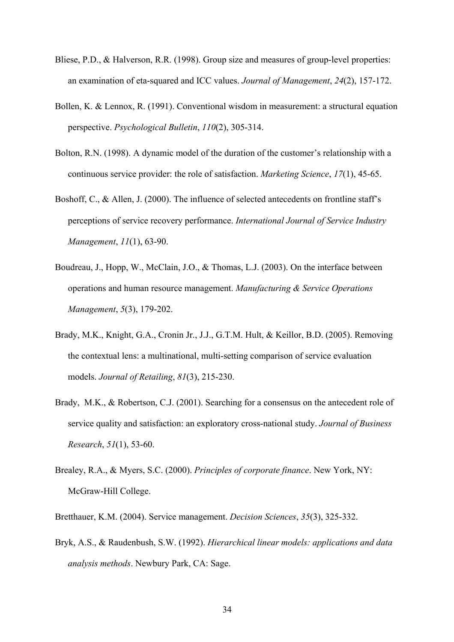- Bliese, P.D., & Halverson, R.R. (1998). Group size and measures of group-level properties: an examination of eta-squared and ICC values. *Journal of Management*, *24*(2), 157-172.
- Bollen, K. & Lennox, R. (1991). Conventional wisdom in measurement: a structural equation perspective. *Psychological Bulletin*, *110*(2), 305-314.
- Bolton, R.N. (1998). A dynamic model of the duration of the customer's relationship with a continuous service provider: the role of satisfaction. *Marketing Science*, *17*(1), 45-65.
- Boshoff, C., & Allen, J. (2000). The influence of selected antecedents on frontline staff's perceptions of service recovery performance. *International Journal of Service Industry Management*, *11*(1), 63-90.
- Boudreau, J., Hopp, W., McClain, J.O., & Thomas, L.J. (2003). On the interface between operations and human resource management. *Manufacturing & Service Operations Management*, *5*(3), 179-202.
- Brady, M.K., Knight, G.A., Cronin Jr., J.J., G.T.M. Hult, & Keillor, B.D. (2005). Removing the contextual lens: a multinational, multi-setting comparison of service evaluation models. *Journal of Retailing*, *81*(3), 215-230.
- Brady, M.K., & Robertson, C.J. (2001). Searching for a consensus on the antecedent role of service quality and satisfaction: an exploratory cross-national study. *Journal of Business Research*, *51*(1), 53-60.
- Brealey, R.A., & Myers, S.C. (2000). *Principles of corporate finance*. New York, NY: McGraw-Hill College.
- Bretthauer, K.M. (2004). Service management. *Decision Sciences*, *35*(3), 325-332.
- Bryk, A.S., & Raudenbush, S.W. (1992). *Hierarchical linear models: applications and data analysis methods*. Newbury Park, CA: Sage.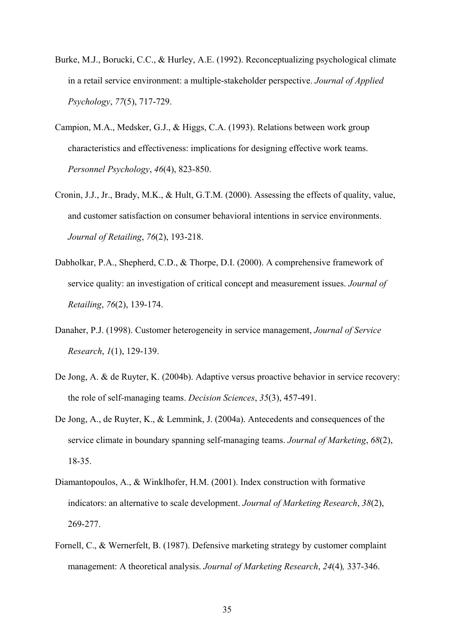- Burke, M.J., Borucki, C.C., & Hurley, A.E. (1992). Reconceptualizing psychological climate in a retail service environment: a multiple-stakeholder perspective. *Journal of Applied Psychology*, *77*(5), 717-729.
- Campion, M.A., Medsker, G.J., & Higgs, C.A. (1993). Relations between work group characteristics and effectiveness: implications for designing effective work teams. *Personnel Psychology*, *46*(4), 823-850.
- Cronin, J.J., Jr., Brady, M.K., & Hult, G.T.M. (2000). Assessing the effects of quality, value, and customer satisfaction on consumer behavioral intentions in service environments. *Journal of Retailing*, *76*(2), 193-218.
- Dabholkar, P.A., Shepherd, C.D., & Thorpe, D.I. (2000). A comprehensive framework of service quality: an investigation of critical concept and measurement issues. *Journal of Retailing*, *76*(2), 139-174.
- Danaher, P.J. (1998). Customer heterogeneity in service management, *Journal of Service Research*, *1*(1), 129-139.
- De Jong, A. & de Ruyter, K. (2004b). Adaptive versus proactive behavior in service recovery: the role of self-managing teams. *Decision Sciences*, *35*(3), 457-491.
- De Jong, A., de Ruyter, K., & Lemmink, J. (2004a). Antecedents and consequences of the service climate in boundary spanning self-managing teams. *Journal of Marketing*, *68*(2), 18-35.
- Diamantopoulos, A., & Winklhofer, H.M. (2001). Index construction with formative indicators: an alternative to scale development. *Journal of Marketing Research*, *38*(2), 269-277.
- Fornell, C., & Wernerfelt, B. (1987). Defensive marketing strategy by customer complaint management: A theoretical analysis. *Journal of Marketing Research*, *24*(4)*,* 337-346.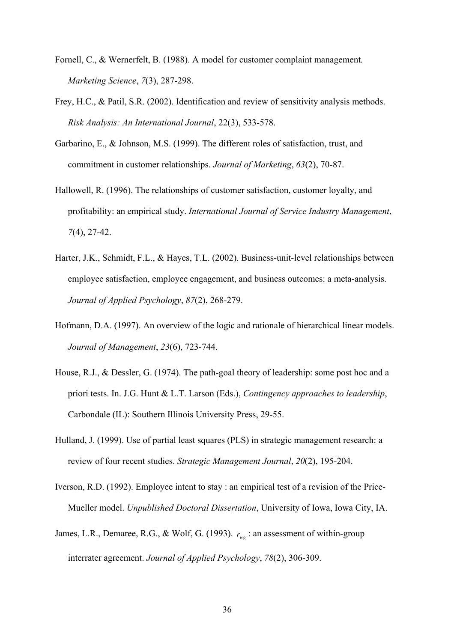- Fornell, C., & Wernerfelt, B. (1988). A model for customer complaint management*. Marketing Science*, *7*(3), 287-298.
- Frey, H.C., & Patil, S.R. (2002). Identification and review of sensitivity analysis methods. *Risk Analysis: An International Journal*, 22(3), 533-578.
- Garbarino, E., & Johnson, M.S. (1999). The different roles of satisfaction, trust, and commitment in customer relationships. *Journal of Marketing*, *63*(2), 70-87.
- Hallowell, R. (1996). The relationships of customer satisfaction, customer loyalty, and profitability: an empirical study. *International Journal of Service Industry Management*, *7*(4), 27-42.
- Harter, J.K., Schmidt, F.L., & Hayes, T.L. (2002). Business-unit-level relationships between employee satisfaction, employee engagement, and business outcomes: a meta-analysis. *Journal of Applied Psychology*, *87*(2), 268-279.
- Hofmann, D.A. (1997). An overview of the logic and rationale of hierarchical linear models. *Journal of Management*, *23*(6), 723-744.
- House, R.J., & Dessler, G. (1974). The path-goal theory of leadership: some post hoc and a priori tests. In. J.G. Hunt & L.T. Larson (Eds.), *Contingency approaches to leadership*, Carbondale (IL): Southern Illinois University Press, 29-55.
- Hulland, J. (1999). Use of partial least squares (PLS) in strategic management research: a review of four recent studies. *Strategic Management Journal*, *20*(2), 195-204.
- Iverson, R.D. (1992). Employee intent to stay : an empirical test of a revision of the Price-Mueller model. *Unpublished Doctoral Dissertation*, University of Iowa, Iowa City, IA.
- James, L.R., Demaree, R.G., & Wolf, G. (1993).  $r_{wg}$  : an assessment of within-group interrater agreement. *Journal of Applied Psychology*, *78*(2), 306-309.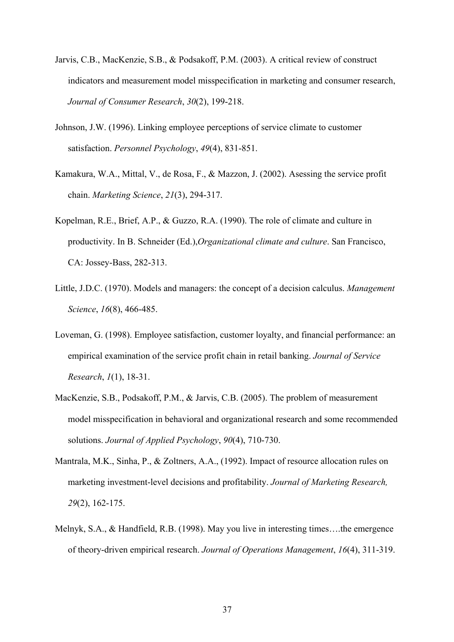- Jarvis, C.B., MacKenzie, S.B., & Podsakoff, P.M. (2003). A critical review of construct indicators and measurement model misspecification in marketing and consumer research, *Journal of Consumer Research*, *30*(2), 199-218.
- Johnson, J.W. (1996). Linking employee perceptions of service climate to customer satisfaction. *Personnel Psychology*, *49*(4), 831-851.
- Kamakura, W.A., Mittal, V., de Rosa, F., & Mazzon, J. (2002). Asessing the service profit chain. *Marketing Science*, *21*(3), 294-317.
- Kopelman, R.E., Brief, A.P., & Guzzo, R.A. (1990). The role of climate and culture in productivity. In B. Schneider (Ed.),*Organizational climate and culture*. San Francisco, CA: Jossey-Bass, 282-313.
- Little, J.D.C. (1970). Models and managers: the concept of a decision calculus. *Management Science*, *16*(8), 466-485.
- Loveman, G. (1998). Employee satisfaction, customer loyalty, and financial performance: an empirical examination of the service profit chain in retail banking. *Journal of Service Research*, *1*(1), 18-31.
- MacKenzie, S.B., Podsakoff, P.M., & Jarvis, C.B. (2005). The problem of measurement model misspecification in behavioral and organizational research and some recommended solutions. *Journal of Applied Psychology*, *90*(4), 710-730.
- Mantrala, M.K., Sinha, P., & Zoltners, A.A., (1992). Impact of resource allocation rules on marketing investment-level decisions and profitability. *Journal of Marketing Research, 29*(2), 162-175.
- Melnyk, S.A., & Handfield, R.B. (1998). May you live in interesting times….the emergence of theory-driven empirical research. *Journal of Operations Management*, *16*(4), 311-319.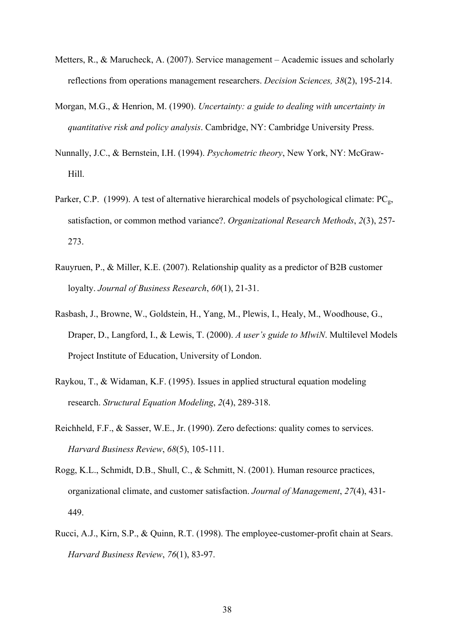- Metters, R., & Marucheck, A. (2007). Service management Academic issues and scholarly reflections from operations management researchers. *Decision Sciences, 38*(2), 195-214.
- Morgan, M.G., & Henrion, M. (1990). *Uncertainty: a guide to dealing with uncertainty in quantitative risk and policy analysis*. Cambridge, NY: Cambridge University Press.
- Nunnally, J.C., & Bernstein, I.H. (1994). *Psychometric theory*, New York, NY: McGraw-Hill.
- Parker, C.P. (1999). A test of alternative hierarchical models of psychological climate:  $PC<sub>g</sub>$ , satisfaction, or common method variance?. *Organizational Research Methods*, *2*(3), 257- 273.
- Rauyruen, P., & Miller, K.E. (2007). Relationship quality as a predictor of B2B customer loyalty. *Journal of Business Research*, *60*(1), 21-31.
- Rasbash, J., Browne, W., Goldstein, H., Yang, M., Plewis, I., Healy, M., Woodhouse, G., Draper, D., Langford, I., & Lewis, T. (2000). *A user's guide to MlwiN*. Multilevel Models Project Institute of Education, University of London.
- Raykou, T., & Widaman, K.F. (1995). Issues in applied structural equation modeling research. *Structural Equation Modeling*, *2*(4), 289-318.
- Reichheld, F.F., & Sasser, W.E., Jr. (1990). Zero defections: quality comes to services. *Harvard Business Review*, *68*(5), 105-111.
- Rogg, K.L., Schmidt, D.B., Shull, C., & Schmitt, N. (2001). Human resource practices, organizational climate, and customer satisfaction. *Journal of Management*, *27*(4), 431- 449.
- Rucci, A.J., Kirn, S.P., & Quinn, R.T. (1998). The employee-customer-profit chain at Sears. *Harvard Business Review*, *76*(1), 83-97.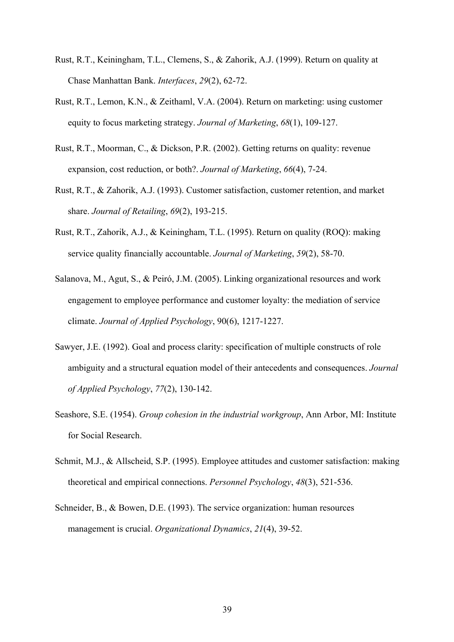- Rust, R.T., Keiningham, T.L., Clemens, S., & Zahorik, A.J. (1999). Return on quality at Chase Manhattan Bank. *Interfaces*, *29*(2), 62-72.
- Rust, R.T., Lemon, K.N., & Zeithaml, V.A. (2004). Return on marketing: using customer equity to focus marketing strategy. *Journal of Marketing*, *68*(1), 109-127.
- Rust, R.T., Moorman, C., & Dickson, P.R. (2002). Getting returns on quality: revenue expansion, cost reduction, or both?. *Journal of Marketing*, *66*(4), 7-24.
- Rust, R.T., & Zahorik, A.J. (1993). Customer satisfaction, customer retention, and market share. *Journal of Retailing*, *69*(2), 193-215.
- Rust, R.T., Zahorik, A.J., & Keiningham, T.L. (1995). Return on quality (ROQ): making service quality financially accountable. *Journal of Marketing*, *59*(2), 58-70.
- Salanova, M., Agut, S., & Peiró, J.M. (2005). Linking organizational resources and work engagement to employee performance and customer loyalty: the mediation of service climate. *Journal of Applied Psychology*, 90(6), 1217-1227.
- Sawyer, J.E. (1992). Goal and process clarity: specification of multiple constructs of role ambiguity and a structural equation model of their antecedents and consequences. *Journal of Applied Psychology*, *77*(2), 130-142.
- Seashore, S.E. (1954). *Group cohesion in the industrial workgroup*, Ann Arbor, MI: Institute for Social Research.
- Schmit, M.J., & Allscheid, S.P. (1995). Employee attitudes and customer satisfaction: making theoretical and empirical connections. *Personnel Psychology*, *48*(3), 521-536.
- Schneider, B., & Bowen, D.E. (1993). The service organization: human resources management is crucial. *Organizational Dynamics*, *21*(4), 39-52.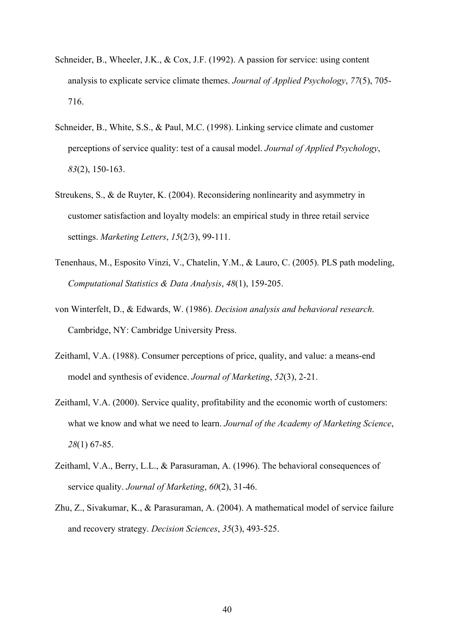- Schneider, B., Wheeler, J.K., & Cox, J.F. (1992). A passion for service: using content analysis to explicate service climate themes. *Journal of Applied Psychology*, *77*(5), 705- 716.
- Schneider, B., White, S.S., & Paul, M.C. (1998). Linking service climate and customer perceptions of service quality: test of a causal model. *Journal of Applied Psychology*, *83*(2), 150-163.
- Streukens, S., & de Ruyter, K. (2004). Reconsidering nonlinearity and asymmetry in customer satisfaction and loyalty models: an empirical study in three retail service settings. *Marketing Letters*, *15*(2/3), 99-111.
- Tenenhaus, M., Esposito Vinzi, V., Chatelin, Y.M., & Lauro, C. (2005). PLS path modeling, *Computational Statistics & Data Analysis*, *48*(1), 159-205.
- von Winterfelt, D., & Edwards, W. (1986). *Decision analysis and behavioral research*. Cambridge, NY: Cambridge University Press.
- Zeithaml, V.A. (1988). Consumer perceptions of price, quality, and value: a means-end model and synthesis of evidence. *Journal of Marketing*, *52*(3), 2-21.
- Zeithaml, V.A. (2000). Service quality, profitability and the economic worth of customers: what we know and what we need to learn. *Journal of the Academy of Marketing Science*, *28*(1) 67-85.
- Zeithaml, V.A., Berry, L.L., & Parasuraman, A. (1996). The behavioral consequences of service quality. *Journal of Marketing*, *60*(2), 31-46.
- Zhu, Z., Sivakumar, K., & Parasuraman, A. (2004). A mathematical model of service failure and recovery strategy. *Decision Sciences*, *35*(3), 493-525.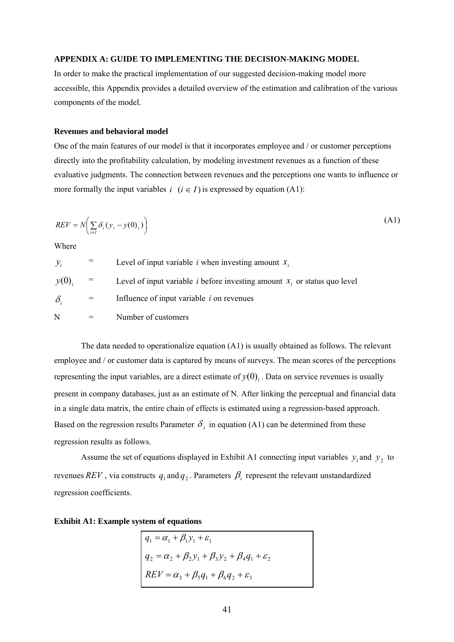#### **APPENDIX A: GUIDE TO IMPLEMENTING THE DECISION-MAKING MODEL**

In order to make the practical implementation of our suggested decision-making model more accessible, this Appendix provides a detailed overview of the estimation and calibration of the various components of the model.

#### **Revenues and behavioral model**

One of the main features of our model is that it incorporates employee and / or customer perceptions directly into the profitability calculation, by modeling investment revenues as a function of these evaluative judgments. The connection between revenues and the perceptions one wants to influence or more formally the input variables  $i \ (i \in I)$  is expressed by equation (A1):

$$
REV = N\left(\sum_{i \in I} \delta_i (y_i - y(0)_i)\right)
$$
 (A1)

Where

| $y_i$      | Level of input variable <i>i</i> when investing amount $x_i$                         |
|------------|--------------------------------------------------------------------------------------|
| y(0)       | Level of input variable <i>i</i> before investing amount $x_i$ , or status quo level |
| $\delta_i$ | Influence of input variable $i$ on revenues                                          |
| N          | Number of customers                                                                  |

The data needed to operationalize equation (A1) is usually obtained as follows. The relevant employee and / or customer data is captured by means of surveys. The mean scores of the perceptions representing the input variables, are a direct estimate of  $y(0)$ . Data on service revenues is usually present in company databases, just as an estimate of N. After linking the perceptual and financial data in a single data matrix, the entire chain of effects is estimated using a regression-based approach. Based on the regression results Parameter  $\delta_i$  in equation (A1) can be determined from these regression results as follows.

Assume the set of equations displayed in Exhibit A1 connecting input variables  $y_1$  and  $y_2$  to revenues  $REV$ , via constructs  $q_1$  and  $q_2$ . Parameters  $\beta_i$  represent the relevant unstandardized regression coefficients.

#### **Exhibit A1: Example system of equations**

$$
q_1 = \alpha_1 + \beta_1 y_1 + \varepsilon_1
$$
  
\n
$$
q_2 = \alpha_2 + \beta_2 y_1 + \beta_3 y_2 + \beta_4 q_1 + \varepsilon_2
$$
  
\n
$$
REV = \alpha_3 + \beta_5 q_1 + \beta_6 q_2 + \varepsilon_3
$$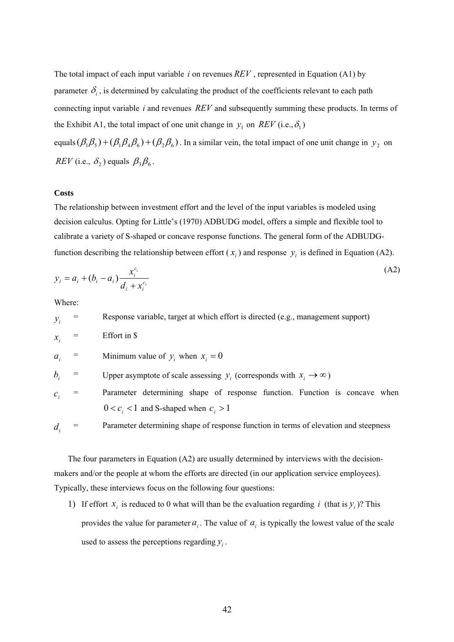The total impact of each input variable  $i$  on revenues  $REV$ , represented in Equation (A1) by parameter  $\delta_i$ , is determined by calculating the product of the coefficients relevant to each path connecting input variable  $i$  and revenues  $REV$  and subsequently summing these products. In terms of the Exhibit A1, the total impact of one unit change in  $y_1$  on  $REV$  (i.e.,  $\delta_1$ )

equals  $(\beta_1\beta_5) + (\beta_1\beta_4\beta_6) + (\beta_2\beta_6)$ . In a similar vein, the total impact of one unit change in  $y_2$  on  $REV$  (i.e.,  $\delta_2$ ) equals  $\beta_3\beta_6$ .

#### **Costs**

The relationship between investment effort and the level of the input variables is modeled using decision calculus. Opting for Little's (1970) ADBUDG model, offers a simple and flexible tool to calibrate a variety of S-shaped or concave response functions. The general form of the ADBUDGfunction describing the relationship between effort  $(x_i)$  and response  $y_i$  is defined in Equation (A2).

$$
y_i = a_i + (b_i - a_i) \frac{x_i^{c_i}}{d_i + x_i^{c_i}}
$$
 (A2)

Where:

 $y_i$  = Response variable, target at which effort is directed (e.g., management support)  $\hat{x}$  = Effort in \$  $a_i$  = Minimum value of  $y_i$  when  $x_i = 0$  $b_i$ = Upper asymptote of scale assessing  $y_i$  (corresponds with  $x_i \rightarrow \infty$ )  $c_i$  = Parameter determining shape of response function. Function is concave when  $0 < c_i < 1$  and S-shaped when  $c_i > 1$ = Parameter determining shape of response function in terms of elevation and steepness *di*

The four parameters in Equation (A2) are usually determined by interviews with the decisionmakers and/or the people at whom the efforts are directed (in our application service employees). Typically, these interviews focus on the following four questions:

1) If effort  $x_i$  is reduced to 0 what will than be the evaluation regarding i (that is  $y_i$ )? This provides the value for parameter  $a_i$ . The value of  $a_i$  is typically the lowest value of the scale used to assess the perceptions regarding  $y_i$ .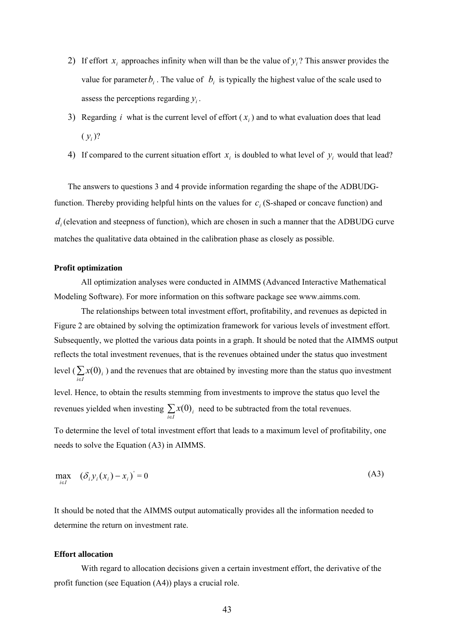- 2) If effort  $x_i$  approaches infinity when will than be the value of  $y_i$ ? This answer provides the value for parameter  $b_i$ . The value of  $b_i$  is typically the highest value of the scale used to assess the perceptions regarding  $y_i$ .
- 3) Regarding *i* what is the current level of effort  $(x_i)$  and to what evaluation does that lead  $(y_i)$ ?
- 4) If compared to the current situation effort  $x_i$  is doubled to what level of  $y_i$  would that lead?

The answers to questions 3 and 4 provide information regarding the shape of the ADBUDGfunction. Thereby providing helpful hints on the values for  $c_i$  (S-shaped or concave function) and  $d_i$  (elevation and steepness of function), which are chosen in such a manner that the ADBUDG curve matches the qualitative data obtained in the calibration phase as closely as possible.

#### **Profit optimization**

All optimization analyses were conducted in AIMMS (Advanced Interactive Mathematical Modeling Software). For more information on this software package see www.aimms.com.

The relationships between total investment effort, profitability, and revenues as depicted in Figure 2 are obtained by solving the optimization framework for various levels of investment effort. Subsequently, we plotted the various data points in a graph. It should be noted that the AIMMS output reflects the total investment revenues, that is the revenues obtained under the status quo investment level  $\left(\sum_{i \in I} x(0)_i\right)$  and the revenues that are obtained by investing more than the status quo investment level. Hence, to obtain the results stemming from investments to improve the status quo level the revenues yielded when investing  $\sum_{i \in I} x(0)_i$  need to be subtracted from the total revenues.

To determine the level of total investment effort that leads to a maximum level of profitability, one needs to solve the Equation (A3) in AIMMS.

$$
\max_{i \in I} \quad (\delta_i y_i(x_i) - x_i)^{i} = 0 \tag{A3}
$$

It should be noted that the AIMMS output automatically provides all the information needed to determine the return on investment rate.

#### **Effort allocation**

With regard to allocation decisions given a certain investment effort, the derivative of the profit function (see Equation (A4)) plays a crucial role.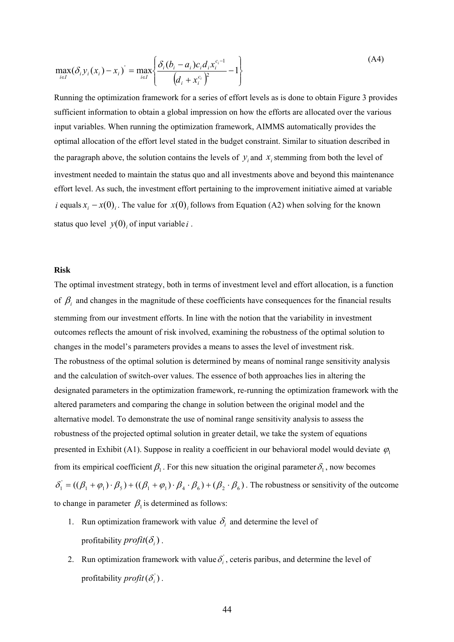$$
\max_{i \in I} (\delta_i y_i (x_i) - x_i) = \max_{i \in I} \left\{ \frac{\delta_i (b_i - a_i) c_i d_i x_i^{c_i - 1}}{(d_i + x_i^{c_i})^2} - 1 \right\}
$$
(A4)

Running the optimization framework for a series of effort levels as is done to obtain Figure 3 provides sufficient information to obtain a global impression on how the efforts are allocated over the various input variables. When running the optimization framework, AIMMS automatically provides the optimal allocation of the effort level stated in the budget constraint. Similar to situation described in the paragraph above, the solution contains the levels of  $y_i$  and  $x_i$  stemming from both the level of investment needed to maintain the status quo and all investments above and beyond this maintenance effort level. As such, the investment effort pertaining to the improvement initiative aimed at variable *i* equals  $x_i - x(0)_i$ . The value for  $x(0)_i$  follows from Equation (A2) when solving for the known status quo level  $y(0)$  of input variable *i*.

#### **Risk**

The optimal investment strategy, both in terms of investment level and effort allocation, is a function of  $\beta$  and changes in the magnitude of these coefficients have consequences for the financial results stemming from our investment efforts. In line with the notion that the variability in investment outcomes reflects the amount of risk involved, examining the robustness of the optimal solution to changes in the model's parameters provides a means to asses the level of investment risk. The robustness of the optimal solution is determined by means of nominal range sensitivity analysis and the calculation of switch-over values. The essence of both approaches lies in altering the designated parameters in the optimization framework, re-running the optimization framework with the altered parameters and comparing the change in solution between the original model and the alternative model. To demonstrate the use of nominal range sensitivity analysis to assess the robustness of the projected optimal solution in greater detail, we take the system of equations presented in Exhibit (A1). Suppose in reality a coefficient in our behavioral model would deviate  $\varphi$ <sub>1</sub> from its empirical coefficient  $\beta_1$ . For this new situation the original parameter  $\delta_1$ , now becomes  $\delta_1 = ((\beta_1 + \varphi_1) \cdot \beta_5) + ((\beta_1 + \varphi_1) \cdot \beta_4 \cdot \beta_6) + (\beta_2 \cdot \beta_6)$ . The robustness or sensitivity of the outcome to change in parameter  $\beta_1$  is determined as follows:

- 1. Run optimization framework with value  $\delta_i$  and determine the level of profitability  $profit(\delta_i)$ .
- 2. Run optimization framework with value  $\delta_i$ , ceteris paribus, and determine the level of profitability  $\text{profit}(\delta_i)$ .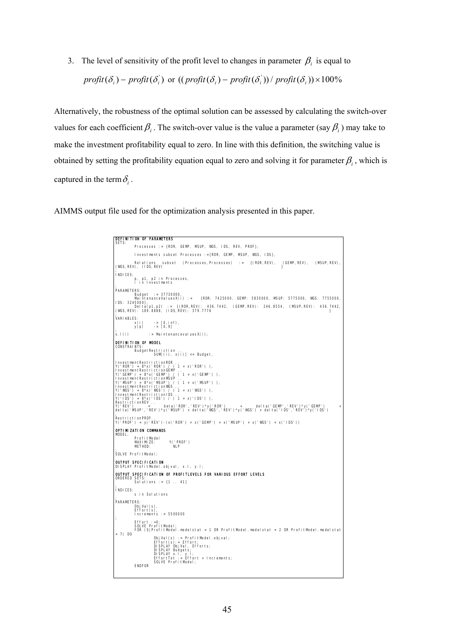3. The level of sensitivity of the profit level to changes in parameter  $\beta_i$  is equal to

$$
profit(\delta_i) - profit(\delta_i') \text{ or } ((profit(\delta_i) - profit(\delta_i')) / profit(\delta_i)) \times 100\%
$$

Alternatively, the robustness of the optimal solution can be assessed by calculating the switch-over values for each coefficient  $\beta_i$ . The switch-over value is the value a parameter (say  $\beta_i$ ) may take to make the investment profitability equal to zero. In line with this definition, the switching value is obtained by setting the profitability equation equal to zero and solving it for parameter  $\beta_i$ , which is captured in the term  $\delta_i$ .

AIMMS output file used for the optimization analysis presented in this paper.

```
DEFINITION OF PARAMETERS 
 SETS: 
              Processes := {ROR, GEMP, MSUP, WGS, IDS, REV, PROF}, 
              Investments subset Processes :={ROR, GEMP, MSUP, WGS, IDS}, 
 Relations subset (Processes,Processes) := {(ROR,REV), (GEMP,REV), (MSUP,REV),<br>(WGS,REV), (IDS,REV)
 ; 
INDICES: 
  p, p1, p2 in Processes, 
 i in Investments 
 ; 
PARAMETERS: 
  Budget := 37730000, 
 MaintenanceValuesX(i) := {ROR: 7425000, GEMP: 5830000, MSUP: 5775000, WGS: 7755000,
 IDS: 3245000},<br>| Delta(p1,p2) := {(ROR,REV): 436.7442, (GEMP,REV): 246.8554, (MSUP,REV): 436.7442,<br>(WGS,REV): 189.8888, (IDS,REV): 379.7776
 ;<br>
VARIABLES:<br>
y(p) -> [0, inf),<br>;<br>;
 x \cdotl(i) := MaintenancevaluesX(i);
 DEFINITION OF MODEL
 CONSTRAINTS: 
 BudgetRestriction .. 
 SUM[(i), x(i)] <= Budget, 
 InvestmentRestrictionROR<br>Y('ROR') = 8*x('ROR') / ( 1 + x('ROR') ),<br>InvestmentRestrictionGEMP<br>Y('GEMP') = 8*x('GEMP') / ( 1 + x('GEMP') ),<br>InvestmentRestrictionMSUP / ( 1 + x('MSUP') ),<br>Y('MSUP') = 8*x('MSUP') / ( 1 + x('MS
 InvestmentRestrictionIDS .. 
Y('IDS') = 8*x('IDS') / ( 1 + x('IDS') ), 
RestrictionREV .. 
Y('REV') = beta('ROR','REV')*y('ROR') + delta('GEMP','REV')*y('GEMP') +
delta('MSUP','REV')*y('MSUP') + delta('WGS','REV')*y('WGS') + delta('IDS','REV')*y('IDS') 
; 
 RestrictionPROF.. 
Y('PROF') = y('REV')-(x('ROR') + x('GEMP') + x('MSUP') + x('WGS') + x('IDS')) 
 OPTIMIZATION COMMANDS<br>MODEL:
  ProfitModel 
 MAXIMIZE: Y('PROF') 
 METHOD: NLP 
 ; 
SOLVE ProfitModel; 
 OUTPUT SPECIFICATION<br>DISPLAY ProfitModel.objval, x.l, y.l;
OUTPUT SPECIFICATION OF PROFITLEVELS FOR VARIOUS EFFORT LEVELS 
 ORDERED SETS: 
 Solutions := {1 .. 41} 
 ;<br>|NDICES:<br>; s in Solutions
 PARAMETERS: 
  ObjVal(s), 
 Effort(s), 
 Increments := 5500000 
 ; 
 Effort :=0;<br>SOLVE ProfitModel;<br>FOR (S|ProfitModel.modelstat = 1 OR ProfitModel.modelstat = 2 OR ProfitModel.modelstat
 = 7) DO
 ObjVal(s):= ProfitModel.objval;<br>Effort(s):= Effort;<br>DISPLAY ObjVal, Efforts;<br>DISPLAY x.l, y.l;<br>DISPLAY x.l, y.l;<br>EffortTot := Effort + Increments;<br>SOLVE ProfitModel;
              ENDFOR
```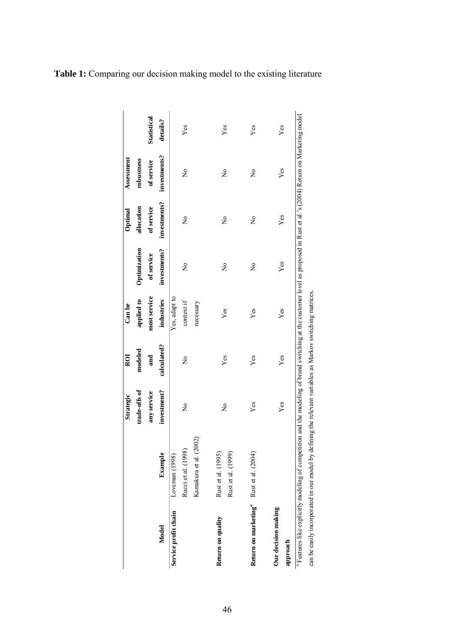|                                                    |                                                                                                                                                                                                                                                                                                   | Strategic     | ROI         | Can be        |              | Optimal      | Assessment   |             |
|----------------------------------------------------|---------------------------------------------------------------------------------------------------------------------------------------------------------------------------------------------------------------------------------------------------------------------------------------------------|---------------|-------------|---------------|--------------|--------------|--------------|-------------|
|                                                    |                                                                                                                                                                                                                                                                                                   | trade-offs of | modeled     | applied to    | Optimization | allocation   | robustness   |             |
|                                                    |                                                                                                                                                                                                                                                                                                   | any service   | and         | most service  | of service   | of service   | of service   | Statistical |
| Model                                              | Example                                                                                                                                                                                                                                                                                           | investment?   | calculated? | industries    | investments? | investments? | investments? | details?    |
| Service profit chain                               | Loveman (1998)                                                                                                                                                                                                                                                                                    |               |             | Yes, adapt to |              |              |              |             |
|                                                    | Rucci et al. (1998)                                                                                                                                                                                                                                                                               | $\tilde{z}$   | $\tilde{z}$ | context if    | $\tilde{z}$  | $\tilde{z}$  | $\tilde{z}$  | Yes         |
|                                                    | (2002)<br>Kamakura et al.                                                                                                                                                                                                                                                                         |               |             | necessary     |              |              |              |             |
| Return on quality                                  | Rust et al. (1995)<br>Rust et al. (1999)                                                                                                                                                                                                                                                          | $\tilde{z}$   | $Y$ es      | Yes           | $\mathsf{S}$ | $\tilde{z}$  | ż            | Yes         |
| Return on marketing <sup>ª</sup> Rust et al. (2004 |                                                                                                                                                                                                                                                                                                   | Yes           | Yes         | Yes           | ż            | $\tilde{z}$  | ż            | Yes         |
| Our decision making<br>approach                    |                                                                                                                                                                                                                                                                                                   | Yes           | Yes         | Yes           | Yes          | Yes          | Yes          | Yes         |
|                                                    | <sup>a</sup> Features like explicitly modeling of competition and the modeling of brand switching at the customer level as proposed in Rust et al.'s (2004) Return on Marketing model<br>can be easily incorporated in our model by defining the relevant variables as Markov switching matrices. |               |             |               |              |              |              |             |

**Table 1:** Comparing our decision making model to the existing literature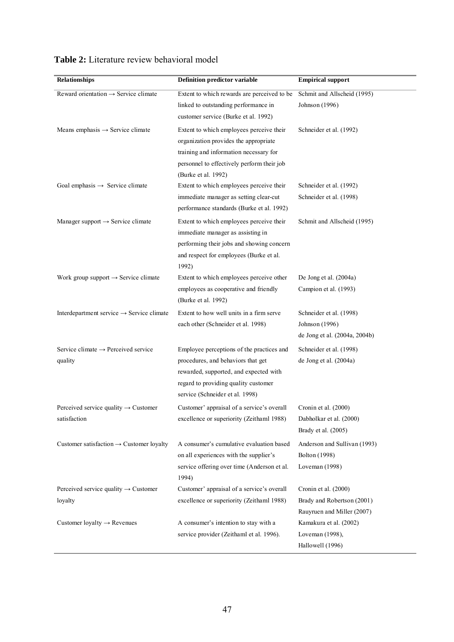| Relationships                                                    | Definition predictor variable                                                                                                                                                                        | <b>Empirical support</b>                                                         |
|------------------------------------------------------------------|------------------------------------------------------------------------------------------------------------------------------------------------------------------------------------------------------|----------------------------------------------------------------------------------|
| Reward orientation $\rightarrow$ Service climate                 | Extent to which rewards are perceived to be<br>linked to outstanding performance in<br>customer service (Burke et al. 1992)                                                                          | Schmit and Allscheid (1995)<br>Johnson (1996)                                    |
| Means emphasis $\rightarrow$ Service climate                     | Extent to which employees perceive their<br>organization provides the appropriate<br>training and information necessary for<br>personnel to effectively perform their job<br>(Burke et al. 1992)     | Schneider et al. (1992)                                                          |
| Goal emphasis $\rightarrow$ Service climate                      | Extent to which employees perceive their<br>immediate manager as setting clear-cut<br>performance standards (Burke et al. 1992)                                                                      | Schneider et al. (1992)<br>Schneider et al. (1998)                               |
| Manager support $\rightarrow$ Service climate                    | Extent to which employees perceive their<br>immediate manager as assisting in<br>performing their jobs and showing concern<br>and respect for employees (Burke et al.<br>1992)                       | Schmit and Allscheid (1995)                                                      |
| Work group support $\rightarrow$ Service climate                 | Extent to which employees perceive other<br>employees as cooperative and friendly<br>(Burke et al. 1992)                                                                                             | De Jong et al. (2004a)<br>Campion et al. (1993)                                  |
| Interdepartment service $\rightarrow$ Service climate            | Extent to how well units in a firm serve<br>each other (Schneider et al. 1998)                                                                                                                       | Schneider et al. (1998)<br>Johnson (1996)<br>de Jong et al. (2004a, 2004b)       |
| Service climate $\rightarrow$ Perceived service<br>quality       | Employee perceptions of the practices and<br>procedures, and behaviors that get<br>rewarded, supported, and expected with<br>regard to providing quality customer<br>service (Schneider et al. 1998) | Schneider et al. (1998)<br>de Jong et al. (2004a)                                |
| Perceived service quality $\rightarrow$ Customer<br>satisfaction | Customer' appraisal of a service's overall<br>excellence or superiority (Zeithaml 1988)                                                                                                              | Cronin et al. (2000)<br>Dabholkar et al. (2000)<br>Brady et al. (2005)           |
| Customer satisfaction $\rightarrow$ Customer loyalty             | A consumer's cumulative evaluation based<br>on all experiences with the supplier's<br>service offering over time (Anderson et al.<br>1994)                                                           | Anderson and Sullivan (1993)<br>Bolton (1998)<br>Loveman (1998)                  |
| Perceived service quality $\rightarrow$ Customer<br>loyalty      | Customer' appraisal of a service's overall<br>excellence or superiority (Zeithaml 1988)                                                                                                              | Cronin et al. (2000)<br>Brady and Robertson (2001)<br>Rauyruen and Miller (2007) |
| Customer loyalty $\rightarrow$ Revenues                          | A consumer's intention to stay with a<br>service provider (Zeithaml et al. 1996).                                                                                                                    | Kamakura et al. (2002)<br>Loveman (1998),<br>Hallowell (1996)                    |

#### **Table 2:** Literature review behavioral model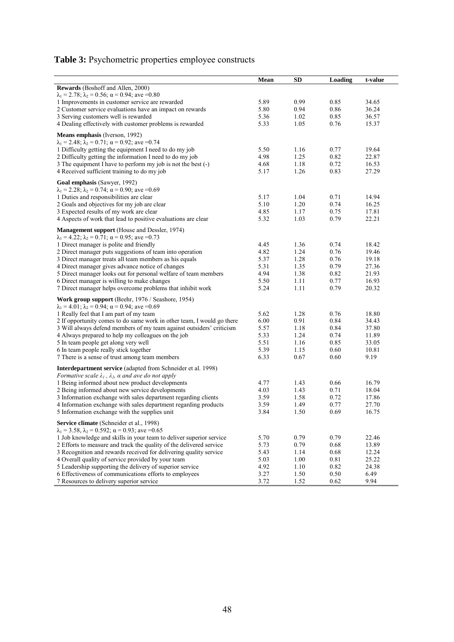## **Table 3:** Psychometric properties employee constructs

|                                                                                                           | Mean         | <b>SD</b>    | Loading      | t-value        |
|-----------------------------------------------------------------------------------------------------------|--------------|--------------|--------------|----------------|
| Rewards (Boshoff and Allen, 2000)                                                                         |              |              |              |                |
| $\lambda_1 = 2.78$ ; $\lambda_2 = 0.56$ ; $\alpha = 0.94$ ; ave = 0.80                                    |              |              |              |                |
| 1 Improvements in customer service are rewarded                                                           | 5.89         | 0.99         | 0.85         | 34.65          |
| 2 Customer service evaluations have an impact on rewards                                                  | 5.80         | 0.94         | 0.86         | 36.24          |
| 3 Serving customers well is rewarded                                                                      | 5.36         | 1.02         | 0.85         | 36.57          |
| 4 Dealing effectively with customer problems is rewarded                                                  | 5.33         | 1.05         | 0.76         | 15.37          |
|                                                                                                           |              |              |              |                |
| <b>Means emphasis</b> (Iverson, 1992)                                                                     |              |              |              |                |
| $\lambda_1 = 2.48$ ; $\lambda_2 = 0.71$ ; $\alpha = 0.92$ ; ave = 0.74                                    |              |              |              |                |
| 1 Difficulty getting the equipment I need to do my job                                                    | 5.50         | 1.16         | 0.77         | 19.64          |
| 2 Difficulty getting the information I need to do my job                                                  | 4.98         | 1.25         | 0.82         | 22.87          |
| 3 The equipment I have to perform my job is not the best (-)                                              | 4.68         | 1.18         | 0.72         | 16.53          |
| 4 Received sufficient training to do my job                                                               | 5.17         | 1.26         | 0.83         | 27.29          |
| Goal emphasis (Sawyer, 1992)                                                                              |              |              |              |                |
| $\lambda_1 = 2.28$ ; $\lambda_2 = 0.74$ ; $\alpha = 0.90$ ; ave = 0.69                                    |              |              |              |                |
| 1 Duties and responsibilities are clear                                                                   | 5.17         | 1.04         | 0.71         | 14.94          |
| 2 Goals and objectives for my job are clear                                                               | 5.10         | 1.20         | 0.74         | 16.25          |
| 3 Expected results of my work are clear                                                                   | 4.85         | 1.17         | 0.75         | 17.81          |
| 4 Aspects of work that lead to positive evaluations are clear                                             | 5.32         | 1.03         | 0.79         | 22.21          |
|                                                                                                           |              |              |              |                |
| Management support (House and Dessler, 1974)                                                              |              |              |              |                |
| $\lambda_1 = 4.22$ ; $\lambda_2 = 0.71$ ; $\alpha = 0.95$ ; ave =0.73                                     |              |              |              |                |
| 1 Direct manager is polite and friendly                                                                   | 4.45         | 1.36         | 0.74         | 18.42          |
| 2 Direct manager puts suggestions of team into operation                                                  | 4.82         | 1.24         | 0.76         | 19.46          |
| 3 Direct manager treats all team members as his equals                                                    | 5.37         | 1.28         | 0.76         | 19.18          |
| 4 Direct manager gives advance notice of changes                                                          | 5.31         | 1.35         | 0.79         | 27.36          |
| 5 Direct manager looks out for personal welfare of team members                                           | 4.94         | 1.38         | 0.82         | 21.93          |
| 6 Direct manager is willing to make changes<br>7 Direct manager helps overcome problems that inhibit work | 5.50<br>5.24 | 1.11<br>1.11 | 0.77<br>0.79 | 16.93<br>20.32 |
|                                                                                                           |              |              |              |                |
| Work group support (Beehr, 1976 / Seashore, 1954)                                                         |              |              |              |                |
| $\lambda_1 = 4.01$ ; $\lambda_2 = 0.94$ ; $\alpha = 0.94$ ; ave = 0.69                                    |              |              |              |                |
| 1 Really feel that I am part of my team                                                                   | 5.62         | 1.28         | 0.76         | 18.80          |
| 2 If opportunity comes to do same work in other team, I would go there                                    | 6.00         | 0.91         | 0.84         | 34.43          |
| 3 Will always defend members of my team against outsiders' criticism                                      | 5.57         | 1.18         | 0.84         | 37.80          |
| 4 Always prepared to help my colleagues on the job                                                        | 5.33         | 1.24         | 0.74         | 11.89          |
| 5 In team people get along very well                                                                      | 5.51         | 1.16         | 0.85         | 33.05          |
| 6 In team people really stick together                                                                    | 5.39         | 1.15         | 0.60         | 10.81          |
| 7 There is a sense of trust among team members                                                            | 6.33         | 0.67         | 0.60         | 9.19           |
| Interdepartment service (adapted from Schneider et al. 1998)                                              |              |              |              |                |
| Formative scale $\lambda_1$ , $\lambda_2$ , a and ave do not apply                                        |              |              |              |                |
| 1 Being informed about new product developments                                                           | 4.77         | 1.43         | 0.66         | 16.79          |
| 2 Being informed about new service developments                                                           | 4.03         | 1.43         | 0.71         | 18.04          |
| 3 Information exchange with sales department regarding clients                                            | 3.59         | 1.58         | 0.72         | 17.86          |
| 4 Information exchange with sales department regarding products                                           | 3.59         | 1.49         | 0.77         | 27.70          |
| 5 Information exchange with the supplies unit                                                             | 3.84         | 1.50         | 0.69         | 16.75          |
|                                                                                                           |              |              |              |                |
| Service climate (Schneider et al., 1998)                                                                  |              |              |              |                |
| $\lambda_1 = 3.58$ , $\lambda_2 = 0.592$ ; $\alpha = 0.93$ ; ave = 0.65                                   |              |              |              |                |
| 1 Job knowledge and skills in your team to deliver superior service                                       | 5.70         | 0.79         | 0.79         | 22.46          |
| 2 Efforts to measure and track the quality of the delivered service                                       | 5.73         | 0.79         | 0.68         | 13.89          |
| 3 Recognition and rewards received for delivering quality service                                         | 5.43         | 1.14         | 0.68         | 12.24          |
| 4 Overall quality of service provided by your team                                                        | 5.03         | 1.00         | 0.81         | 25.22          |
| 5 Leadership supporting the delivery of superior service                                                  | 4.92         | 1.10         | 0.82         | 24.38          |
| 6 Effectiveness of communications efforts to employees<br>7 Resources to delivery superior service        | 3.27<br>3.72 | 1.50<br>1.52 | 0.50<br>0.62 | 6.49<br>9.94   |
|                                                                                                           |              |              |              |                |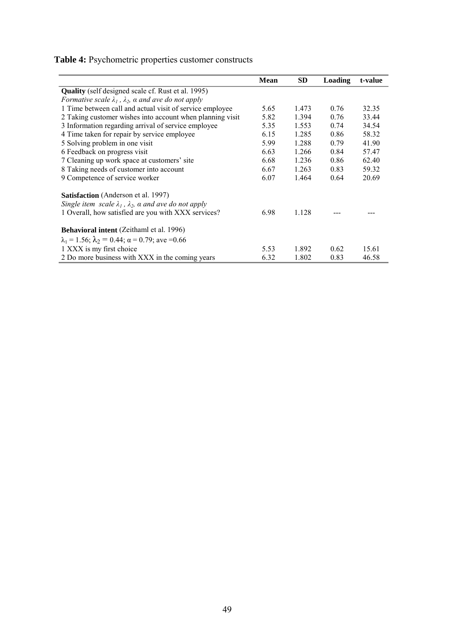### **Table 4:** Psychometric properties customer constructs

|                                                                             | <b>Mean</b> | <b>SD</b> | <b>Loading</b> | t-value |
|-----------------------------------------------------------------------------|-------------|-----------|----------------|---------|
| <b>Quality</b> (self designed scale cf. Rust et al. 1995)                   |             |           |                |         |
| Formative scale $\lambda_1$ , $\lambda_2$ , a and ave do not apply          |             |           |                |         |
| 1 Time between call and actual visit of service employee                    | 5.65        | 1.473     | 0.76           | 32.35   |
| 2 Taking customer wishes into account when planning visit                   | 5.82        | 1.394     | 0.76           | 33.44   |
| 3 Information regarding arrival of service employee                         | 5.35        | 1.553     | 0.74           | 34.54   |
| 4 Time taken for repair by service employee                                 | 6.15        | 1.285     | 0.86           | 58.32   |
| 5 Solving problem in one visit                                              | 5.99        | 1.288     | 0.79           | 41.90   |
| 6 Feedback on progress visit                                                | 6.63        | 1.266     | 0.84           | 57.47   |
| 7 Cleaning up work space at customers' site                                 | 6.68        | 1.236     | 0.86           | 62.40   |
| 8 Taking needs of customer into account                                     | 6.67        | 1.263     | 0.83           | 59.32   |
| 9 Competence of service worker                                              | 6.07        | 1.464     | 0.64           | 20.69   |
| <b>Satisfaction</b> (Anderson et al. 1997)                                  |             |           |                |         |
| Single item scale $\lambda_1$ , $\lambda_2$ , $\alpha$ and ave do not apply |             |           |                |         |
| 1 Overall, how satisfied are you with XXX services?                         | 6.98        | 1.128     |                |         |
| <b>Behavioral intent</b> (Zeithaml et al. 1996)                             |             |           |                |         |
| $\lambda_1 = 1.56$ ; $\lambda_2 = 0.44$ ; $\alpha = 0.79$ ; ave = 0.66      |             |           |                |         |
| 1 XXX is my first choice                                                    | 5.53        | 1.892     | 0.62           | 15.61   |
| 2 Do more business with XXX in the coming years                             | 6.32        | 1.802     | 0.83           | 46.58   |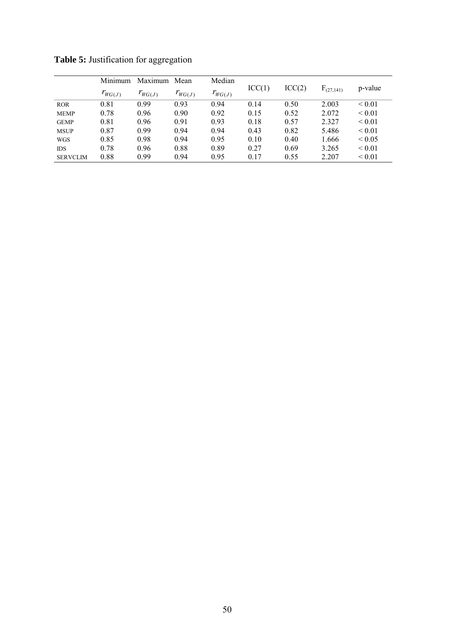|                 | Minimum     | Maximum Mean |             | Median      |        |        |                |             |
|-----------------|-------------|--------------|-------------|-------------|--------|--------|----------------|-------------|
|                 | $r_{WG(J)}$ | $I_{WG(J)}$  | $r_{WG(J)}$ | $r_{WG(J)}$ | ICC(1) | ICC(2) | $F_{(27,141)}$ | p-value     |
| <b>ROR</b>      | 0.81        | 0.99         | 0.93        | 0.94        | 0.14   | 0.50   | 2.003          | ${}_{0.01}$ |
| <b>MEMP</b>     | 0.78        | 0.96         | 0.90        | 0.92        | 0.15   | 0.52   | 2.072          | ${}_{0.01}$ |
| <b>GEMP</b>     | 0.81        | 0.96         | 0.91        | 0.93        | 0.18   | 0.57   | 2.327          | ${}_{0.01}$ |
| <b>MSUP</b>     | 0.87        | 0.99         | 0.94        | 0.94        | 0.43   | 0.82   | 5.486          | ${}_{0.01}$ |
| <b>WGS</b>      | 0.85        | 0.98         | 0.94        | 0.95        | 0.10   | 0.40   | 1.666          | ${}_{0.05}$ |
| <b>IDS</b>      | 0.78        | 0.96         | 0.88        | 0.89        | 0.27   | 0.69   | 3.265          | ${}_{0.01}$ |
| <b>SERVCLIM</b> | 0.88        | 0.99         | 0.94        | 0.95        | 0.17   | 0.55   | 2.207          | ${}_{0.01}$ |

**Table 5:** Justification for aggregation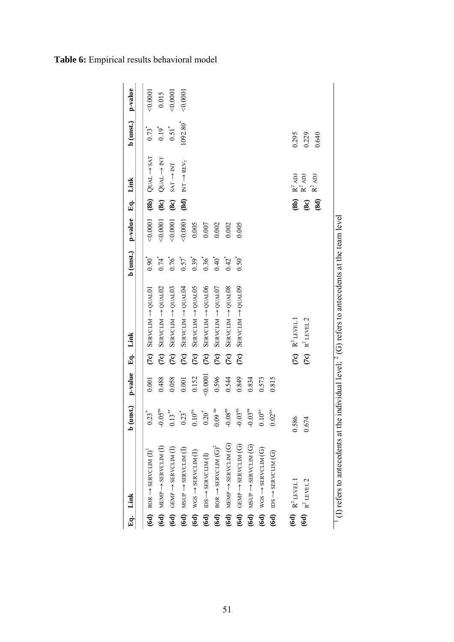|                                                                      |        |                 |                                              |                                                  | p-value   |                                                                                                         |                                                                                 |                        |        |
|----------------------------------------------------------------------|--------|-----------------|----------------------------------------------|--------------------------------------------------|-----------|---------------------------------------------------------------------------------------------------------|---------------------------------------------------------------------------------|------------------------|--------|
|                                                                      |        |                 |                                              |                                                  |           |                                                                                                         |                                                                                 |                        |        |
| $0.23$ <sup>*</sup>                                                  | 0.001  | $\widetilde{C}$ | $S$ ERVCLIM $\rightarrow$ QUALO <sub>1</sub> | $0.90^{*}$                                       | 0.0001    | $\binom{8b}{ }$                                                                                         | $QUAL \rightarrow SAT$                                                          | $0.73*$                | 0.0001 |
| $-0.05^{\rm ns}$<br>$MEMP \rightarrow$ SERVCLIM (I)                  | 0.488  |                 | $S$ ERVCLIM $\rightarrow$ QUALO2             | $0.74$ <sup>*</sup>                              | 0.0001    | $\mathbf{r}$                                                                                            | $QUAL \rightarrow NT$                                                           | $0.19$ <sup>*</sup>    | 0.015  |
| $13**$<br>$(6d)$ GEMP $\rightarrow$ SERVCLIM $(I)$                   | 0.058  | (7c)            | $S$ ERVCLIM $\rightarrow$ QUALO3             | $0.76*$                                          | 0.0001    | $\mathbf{r}$                                                                                            | $SAT \rightarrow NT$                                                            | $0.51$ <sup>*</sup>    | 0.0001 |
| $0.23$ <sup>*</sup><br>$MSDP \rightarrow$ SERVCLIM (I)               | 0.001  | $\widetilde{C}$ | $S$ ERVCLIM $\rightarrow$ QUALO4             | $0.57$ <sup>*</sup>                              | 0.0001    | $\mathbf{30}$                                                                                           | $\mathbb{N}\mathbb{T} \xrightarrow{} \mathbb{R}\mathbb{E}\mathsf{V}_\mathsf{T}$ | $1092.80^{*}$          | 0.0001 |
| 10 <sup>ns</sup>                                                     | 0.152  | $\widetilde{C}$ | $S$ ERVCLIM $\rightarrow$ QUALOS             | $0.39*$                                          | 0.005     |                                                                                                         |                                                                                 |                        |        |
| $0.20^{*}$                                                           | 0.0001 | $\widetilde{C}$ | $S$ ERVCLIM $\rightarrow$ QUALO6             | $0.36^{*}$                                       | $0.007\,$ |                                                                                                         |                                                                                 |                        |        |
| $0.09$ ns<br>$\text{ROR} \rightarrow \text{SERVCLIM}$ $(\text{G})^2$ | 0.596  | $\widetilde{C}$ | $S$ ERVCLIM $\rightarrow$ QUALO7             | $0.40*$                                          | 0.002     |                                                                                                         |                                                                                 |                        |        |
| $0.08^{\rm ns}$<br>$MEMP \rightarrow$ SERVCLIM $(G)$                 | 0.544  | $\overline{C}$  | $S$ ERVCLIM $\rightarrow$ QUALO8             | $0.42$ <sup>*</sup>                              | 0.002     |                                                                                                         |                                                                                 |                        |        |
| $-0.03ns$<br>$(6d)$ GEMP $\rightarrow$ SERVCLM $(G)$                 | 0.849  | $\widetilde{C}$ | SERVCLIM -> QUALO9                           | $0.50^{*}$                                       | 0.005     |                                                                                                         |                                                                                 |                        |        |
| 0.03 <sup>ns</sup><br>$6d)$ MSUP $\rightarrow$ SERVCLM $(G)$         | 0.834  |                 |                                              |                                                  |           |                                                                                                         |                                                                                 |                        |        |
| 0 <sup>ns</sup><br>$WGS \rightarrow$ SERVCLIM (G)                    | 0.573  |                 |                                              |                                                  |           |                                                                                                         |                                                                                 |                        |        |
| 0.02 <sup>ns</sup>                                                   | 0.815  |                 |                                              |                                                  |           |                                                                                                         |                                                                                 |                        |        |
|                                                                      |        |                 |                                              |                                                  |           |                                                                                                         |                                                                                 |                        |        |
| 0.674                                                                |        |                 |                                              |                                                  |           | $\mathbf{8e}$                                                                                           | $R^2$ ADJ                                                                       | 0.229                  |        |
|                                                                      |        |                 |                                              |                                                  |           | (8d)                                                                                                    |                                                                                 | 0.640                  |        |
|                                                                      |        |                 |                                              |                                                  |           |                                                                                                         |                                                                                 |                        |        |
|                                                                      | 0.586  |                 |                                              | (7c) $R^2$ LEVEL 2<br>(7c) $R^2$ LEVEL 1<br>(7c) |           | (I) refers to antecedents at the individual level; $\angle$ (G) refers to antecedents at the team level | $\overline{\textbf{(8b)}}$                                                      | $R^2$ ADJ<br>$R^2$ ADJ | 0.295  |

**Table 6:** Empirical results behavioral model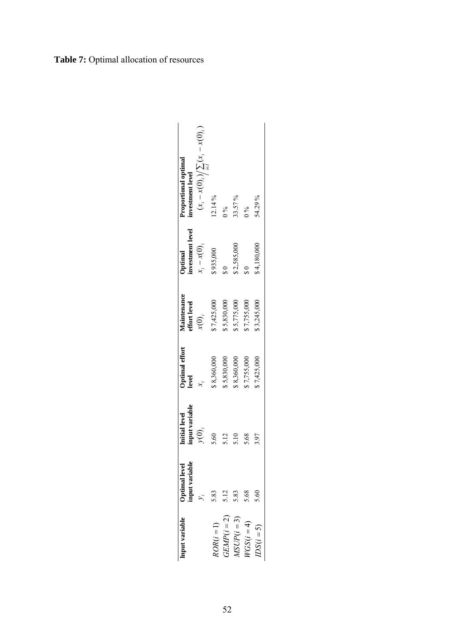| $(x_i - x(0)_i) \sum_{i \in I} (x_i - x(0)_i)$<br>roportional optimal<br>nvestment level | 12.14%       | $0\%$         | 33.57%       | $\frac{5}{6}$ | 54.29%      |
|------------------------------------------------------------------------------------------|--------------|---------------|--------------|---------------|-------------|
| nvestment level<br>$x_i - x(0)_i$<br><b>Optimal</b>                                      | \$935,000    |               | \$2,585,000  |               | \$4,180,000 |
| Aaintenance<br>ffort level<br>$\mathfrak{x}(0)_i$                                        | 57,425,000   | \$5,830,000   | \$5,775,000  | \$7,755,000   | \$3,245,000 |
| Optimal effort<br>evel                                                                   | \$8,360,000  | 5,830,000     | \$8,360,000  | \$7,755,000   | \$7,425,000 |
| input variable<br>Initial level<br>y(0)                                                  | 5.60         | $\frac{2}{2}$ | 5.10         | 5.68          | 3.97        |
| <b>Optimal level</b><br>nput variable<br>$\lambda_i$                                     | 5.83         |               | 5.12<br>5.83 | 5.68          | 5.60        |
| nput variable                                                                            | $iOR(i = 1)$ | $JEMP(i = 2)$ | $ASUP(i=3)$  | $VGS(i=4)$    | $DS(i=5)$   |

## **Table 7:** Optimal allocation of resources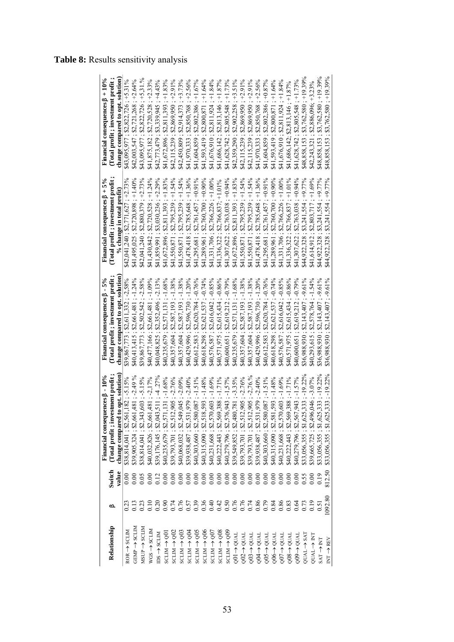|  |  | <b>Table 8:</b> Results sensitivity analysis |  |
|--|--|----------------------------------------------|--|
|--|--|----------------------------------------------|--|

|                                             |                                                                               |                  | Financial consequences $\beta$ - 10%                                     | Financial consequences $\beta$ - 5%                                                | Financial consequences $\beta + 5\%$      | Financial consequences $\beta + 10\%$                                                                                                           |
|---------------------------------------------|-------------------------------------------------------------------------------|------------------|--------------------------------------------------------------------------|------------------------------------------------------------------------------------|-------------------------------------------|-------------------------------------------------------------------------------------------------------------------------------------------------|
| Relationship                                | ≏                                                                             | Switch           | estment profit<br>(Total profit; in                                      | Total profit; investment profit                                                    | Total profit; investment profit           | (Total profit ; investment profit ;                                                                                                             |
|                                             |                                                                               | value            | to opt. solution<br>change compared                                      | change compared to opt. solution                                                   | % change in total profit)                 | change compared to opt. solution                                                                                                                |
| $ROR \rightarrow SCIM$                      |                                                                               |                  | \$38,814,041; \$2,561,182; -5.15%                                        | \$39,867,773; \$2,611,332; -2,58%                                                  | $$42,041,240; $2,771,627; +2.73\%$        | $$43,095,977; $2,822,726; +5.31\%$                                                                                                              |
| $BENP \rightarrow SCLD$                     |                                                                               |                  | $$39,905,324; $2,661,481; -2.49\%$<br>$$38,814,041; $2,343,603; -5.15\%$ | \$40,413,415; \$2,661,481; -1.24%<br>\$39,867,773; \$2,502,542; -2.58%             | $32,720,898$ ; +1.40%<br>\$41,495,025;    | $$42,003,547; $2,721,268; +2.64\%$                                                                                                              |
| $MSDP \rightarrow SCLIN$                    |                                                                               | 0.05             |                                                                          |                                                                                    | $$42,041,240; $2,880,379; +2.73\%$        | $$2,822,726; +5,31\%$<br>\$43,095,977                                                                                                           |
| $WGS \rightarrow SCIM$                      | 3<br>3 3 3 3 3 4 5 5 9 9 9 9 9 9 9 9 5 6<br>3 3 3 3 6 5 6 6 6 6 6 6 6 6 6 6 6 | 0.00             | $-2,17%$<br>\$40,032,826; \$2,661,481;                                   | $-1.09%$<br>$; $2,661,481 ;$<br>$; $2,352,496 ;$<br>\$40,477,166;                  | $+1.24%$<br>\$2,720,528<br>\$41,430,842;  | \$2,720,528;<br>841,875,182                                                                                                                     |
| $DS \rightarrow SCLM$                       |                                                                               | 0.12             | $-4.27%$<br>\$39,176,145; \$2,043,511;                                   | $-2.13%$<br>\$40,048,825;                                                          | $$41,859,991; $33,030,236; +2.29\%$       | $+4.43%$<br>\$3,339,945<br>842,773,479                                                                                                          |
| $Q_0 \rightarrow Q_0$                       |                                                                               |                  | $-1.68%$<br>571,131<br>\$40,235,679; \$2,5                               | $-1.68%$<br>\$2,571,131<br>\$40,235,679;                                           | $+1.83%$<br>\$2,811,393<br>841,672,896;   | $+1.83%$<br>\$2,811,393<br>\$41,672,896                                                                                                         |
| $SCLM \rightarrow QO2$                      |                                                                               |                  | $-2.76%$<br>\$39,793,701; \$2,512,905;                                   | $-1.38%$<br>\$2,587,193<br>\$40,357,604;                                           | $$2,795,239; +1.54\%$<br>\$41,550,871;    | $$2,869,950; +2.91\%$<br>$$2,914,373; +3.73\%$<br>\$42,115,239;                                                                                 |
| $SCIM \rightarrow Q03$                      |                                                                               |                  | $-2.09%$<br>\$40,068,032; \$2,549,045;<br>\$39,938,487; \$2,531,979;     | $-1.38%$<br>$$2,587,193;$<br>$$2,596,730;$<br>\$40,357,604                         | $+1.54%$<br>\$2,795,239<br>\$41,550,871;  | \$42,450,809                                                                                                                                    |
| $SO^2 \rightarrow Q^2$                      |                                                                               |                  | $-2.40%$                                                                 | $-1.20%$<br>\$40,429,996;                                                          | $$2,785,648; +1.36\%$<br>\$41,478,418;    | $3 + 2.56%$<br>\$2,850,768<br>\$41,970,333                                                                                                      |
| $SO_9 \rightarrow SO_5$                     |                                                                               |                  | $-1.51\%$<br>\$40,303,660; \$2,580,087                                   | $-0.76%$<br>$$2,620,784$ ;<br>$$2,621,537$ ;<br>\$40,612,583                       | $$2,761,457; +0.91\%$<br>\$41,295,681;    | $+1.67%$<br>\$2,802,386<br>\$41,604,859                                                                                                         |
| $SO6 \rightarrow Q06$                       |                                                                               |                  | $-1.48%$<br>18,593;<br>\$40,315,090; \$2,51                              | $-0.74%$                                                                           | $$2,760,700; +0.90\%$<br>\$41,289,961;    | 1,593,419<br>$\overline{z}$                                                                                                                     |
| $\overline{Q}$ $\rightarrow$ $\overline{Q}$ |                                                                               |                  | $-1.69%$<br>\$40,231,668; \$2,570,603                                    | $-0.85%$<br>$$2,616,042;$<br>$$2,615,434;$<br>\$40,618,298; \$<br>\$40,576,587; \$ | $$2,766,226; +1.00\%$<br>\$41,331,706     | ; \$2,800,871 ; +1.64%<br>; \$2,811,924 ; +1.84%<br>; \$2,813,146 ; +1.87%<br>; \$2,905,548 ; +1.73%<br>; \$2,902,258 ; +3.51%<br>\$41,676,910; |
| $SCLM \rightarrow Q08$                      |                                                                               |                  | $-1.71\%$<br>\$40,222,443; \$2,569,388;                                  | $-0.86%$<br>\$40,571,975;                                                          | $$2,766,837; +1.01\%$<br>\$41,336,322     | \$41,686,142                                                                                                                                    |
| $SO9 \rightarrow Q09$                       |                                                                               |                  | $-1,57%$<br>$-3.35%$<br>\$40,279,796; \$2,576,943                        | $-0.79%$<br>\$40,600,651;                                                          | $$2,763,038; +0.94\%$<br>\$41,307,622     | \$41,628,742                                                                                                                                    |
| $Q1 \rightarrow QUAL$                       |                                                                               |                  | 839,549,852; \$2,480,781;                                                | $-1.68%$<br>$($ \$2,619,212<br>$($ \$2,571,131<br>\$40,235,679;                    | $$2,811,393; +1.83\%$<br>841,672,896      | \$42,359,290                                                                                                                                    |
| $Q02 \rightarrow QUAI$                      |                                                                               |                  | $-2.76%$<br>\$39,793,701; \$2,512,905;<br>\$39,793,701; \$2,512,905;     | $-1.38%$<br>$$2,587,193;$<br>$$2,587,193;$<br>\$40,357,604                         | $+1.54%$<br>\$2,795,239;<br>\$41,550,871  | $$2,869,950; +2.91\%$<br>842, 115, 239                                                                                                          |
| $Q03 \rightarrow QUAI$                      |                                                                               | 0.000000         | $-2,76.%$                                                                | $-1.38%$<br>\$40,357,604;                                                          | $$2,795,239; +1.54\%$<br>\$41,550,871;    | $$2,869,950; +2.91\%$<br>842, 115, 239                                                                                                          |
| $Q04 \rightarrow QUAI$                      | 0.86                                                                          |                  | $-2.40%$<br>\$39,938,487; \$2,531,979;                                   | $-1.20%$<br>\$2,596,730<br>\$40,429,996;                                           | $$2,785,648; +1.36\%$<br>\$41,478,418     | $$2,850,768; +2.56\%$<br>$$2,802,386; +0.87\%$<br>841,970,333                                                                                   |
| $QO5 \rightarrow QUAI$                      | 0.79                                                                          | 0.00000          | $-1.51\%$<br>\$40,303,660; \$2,580,087;                                  | $-0.76%$<br>\$2,620,784<br>840,612,583;                                            | $$2,761,457; +0.91\%$<br>\$41,295,681;    | \$41,604,859                                                                                                                                    |
| $Q06 \rightarrow QUAI$                      | 0.84                                                                          |                  | $-1.48%$<br>\$40,315,090; \$2,581,593                                    | $-0.74\%$<br>\$2,621,537<br>\$40,618,298;                                          | $$2,760,700; +0.90\%$<br>\$41,289,961;    | $$2,800,871; +1.64\%$<br>\$41,593,419;                                                                                                          |
| $Q07 \rightarrow QUAI$                      | 0.86                                                                          | 0.00             | $-1.69%$<br>\$40,231,668; \$2,570,603;                                   | $-0.85%$<br>\$2,616,042<br>\$40,576,587;                                           | $+1.00%$<br>\$2,766,226;<br>\$41,331,706; | $$2,811,924; +1.84\%$<br>\$41,676,910;                                                                                                          |
| $008 \rightarrow Q$ UAI                     |                                                                               | $\overline{0}$ . | $-1.71%$<br>\$40,222,443; \$2,569,388;                                   | $-0.86%$<br>\$2,615,434<br>\$40,571,975;                                           | $$2,766,837; +1.01\%$<br>\$41,336,322     | $$41,686,142; $2,813,146; +1.87%$                                                                                                               |
| $009 \rightarrow 00A$                       | 0.64                                                                          | 0.00             | $-1.57%$<br>\$40,279,796; \$2,567,943;                                   | $-0.79%$<br>\$2,619,212<br>\$40,600,651;                                           | $+0.94%$<br>\$2,763,038;<br>\$41,307,622  | $$41,628,742; $2,805,548; +1.73\%$                                                                                                              |
| $QUAL \rightarrow SAT$                      |                                                                               | 0.55             | $-19.22%$<br>\$33,056,355; \$1,625,333                                   | $-9.61\%$<br>\$2,143,407<br>\$36,988,930;                                          | $+9.77%$<br>\$3,241,554;<br>\$44,922,328  | $$3,762,580,+19.39%$<br>\$48,858,153;                                                                                                           |
| NI ← TAID                                   | 0.19                                                                          | 0.00             | $-3.07%$<br>\$39,665,725; \$2,496,046;                                   | $-1.54%$<br>\$2,578,764<br>\$40,293,615;                                           | $+1.69%$<br>\$2,803,717;<br>\$41,614,912  | $$2,886,096; +3.23\%$<br>\$42,243,321                                                                                                           |
| $SAT \rightarrow NT$                        | 0.51                                                                          | 0.19             | $-19.22%$<br>25,333<br>\$33,056,355; \$1,62                              | $$36,988,930; $2,143,407; -9.61\%$                                                 | $$3,241,554; +9.77\%$<br>\$44,922,328;    | $33,762,580$ ; +19.39%<br>848,858,153;                                                                                                          |
| NT -> REV                                   | 1092.80                                                                       | 812.50           | $15,333; -19.22\%$<br>\$33,056,355; \$1,62                               | $-9.61\%$<br>\$2,143,407;<br>\$36,988,930;                                         | $$3,241,554; +9.77\%$<br>\$44,922,328;    | $$48,858,153; $3,762,580; +19.39\%$                                                                                                             |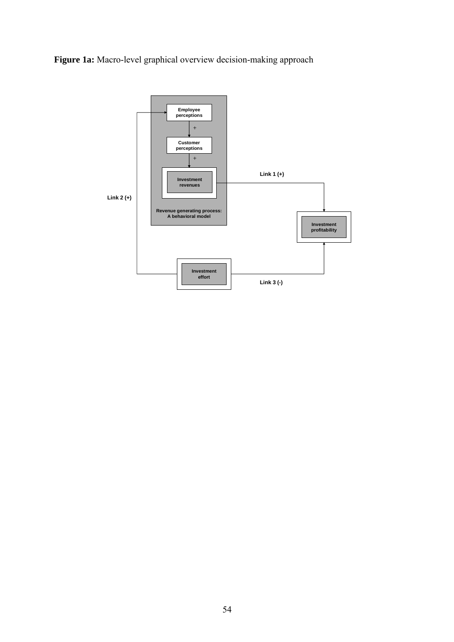**Figure 1a:** Macro-level graphical overview decision-making approach

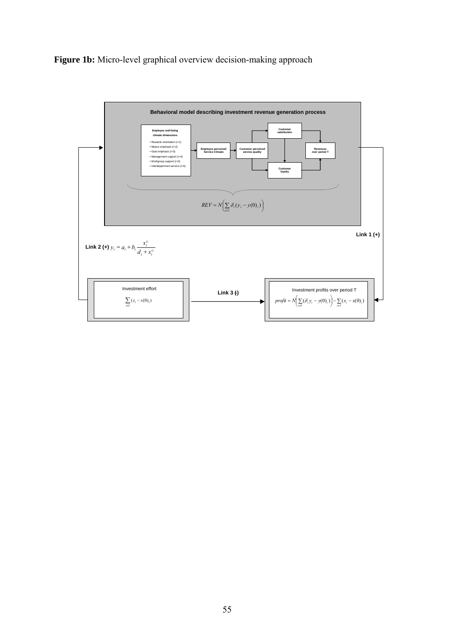**Figure 1b:** Micro-level graphical overview decision-making approach

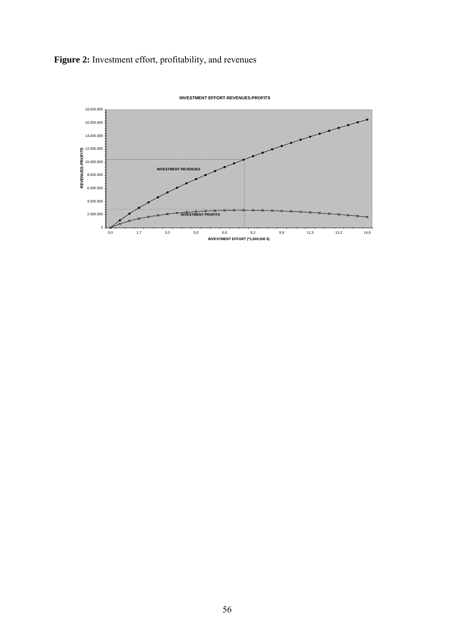**Figure 2:** Investment effort, profitability, and revenues



**INVESTMENT EFFORT-REVENUES-PROFITS**